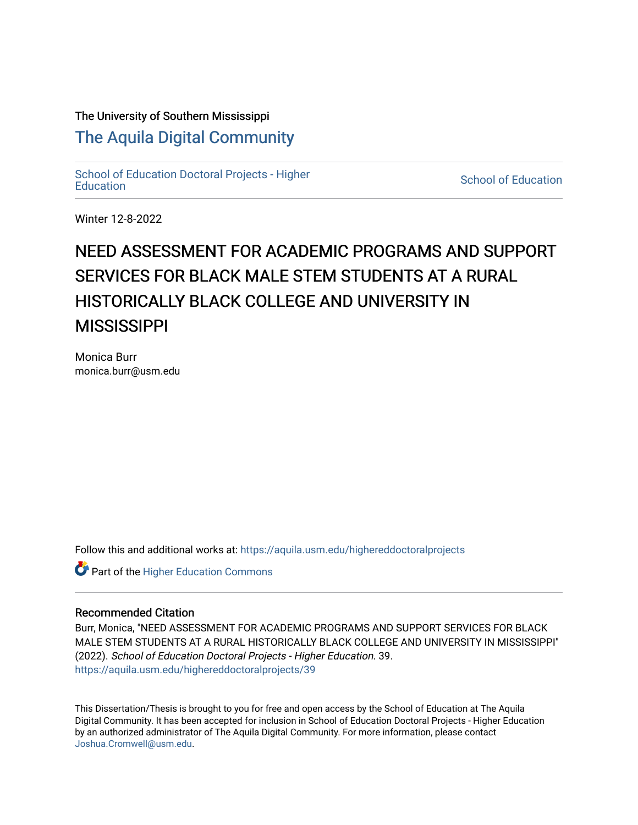# The University of Southern Mississippi

# [The Aquila Digital Community](https://aquila.usm.edu/)

[School of Education Doctoral Projects - Higher](https://aquila.usm.edu/highereddoctoralprojects)  [Education](https://aquila.usm.edu/highereddoctoralprojects) [School of Education](https://aquila.usm.edu/education) 

Winter 12-8-2022

# NEED ASSESSMENT FOR ACADEMIC PROGRAMS AND SUPPORT SERVICES FOR BLACK MALE STEM STUDENTS AT A RURAL HISTORICALLY BLACK COLLEGE AND UNIVERSITY IN **MISSISSIPPI**

Monica Burr monica.burr@usm.edu

Follow this and additional works at: [https://aquila.usm.edu/highereddoctoralprojects](https://aquila.usm.edu/highereddoctoralprojects?utm_source=aquila.usm.edu%2Fhighereddoctoralprojects%2F39&utm_medium=PDF&utm_campaign=PDFCoverPages)

**Part of the Higher Education Commons** 

# Recommended Citation

Burr, Monica, "NEED ASSESSMENT FOR ACADEMIC PROGRAMS AND SUPPORT SERVICES FOR BLACK MALE STEM STUDENTS AT A RURAL HISTORICALLY BLACK COLLEGE AND UNIVERSITY IN MISSISSIPPI" (2022). School of Education Doctoral Projects - Higher Education. 39. [https://aquila.usm.edu/highereddoctoralprojects/39](https://aquila.usm.edu/highereddoctoralprojects/39?utm_source=aquila.usm.edu%2Fhighereddoctoralprojects%2F39&utm_medium=PDF&utm_campaign=PDFCoverPages) 

This Dissertation/Thesis is brought to you for free and open access by the School of Education at The Aquila Digital Community. It has been accepted for inclusion in School of Education Doctoral Projects - Higher Education by an authorized administrator of The Aquila Digital Community. For more information, please contact [Joshua.Cromwell@usm.edu](mailto:Joshua.Cromwell@usm.edu).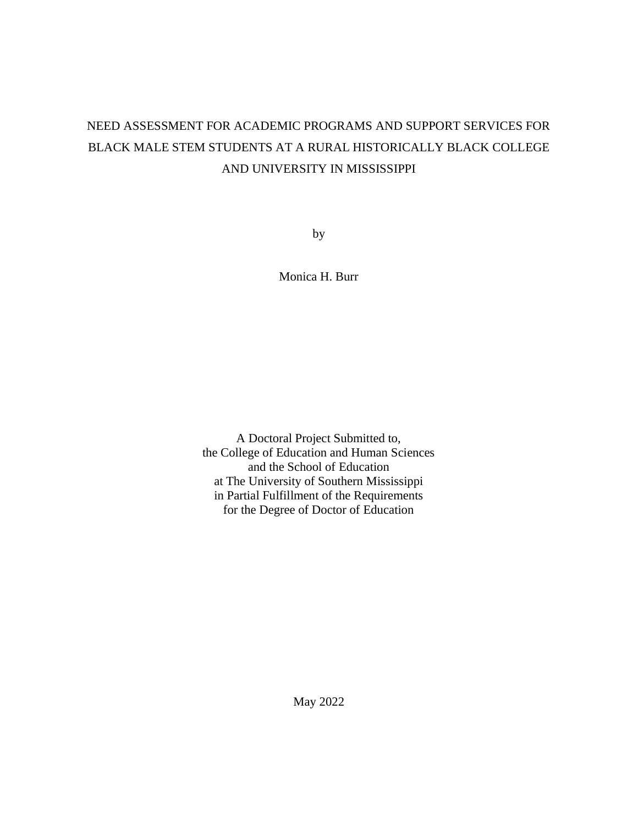# NEED ASSESSMENT FOR ACADEMIC PROGRAMS AND SUPPORT SERVICES FOR BLACK MALE STEM STUDENTS AT A RURAL HISTORICALLY BLACK COLLEGE AND UNIVERSITY IN MISSISSIPPI

by

Monica H. Burr

A Doctoral Project Submitted to, the College of Education and Human Sciences and the School of Education at The University of Southern Mississippi in Partial Fulfillment of the Requirements for the Degree of Doctor of Education

May 2022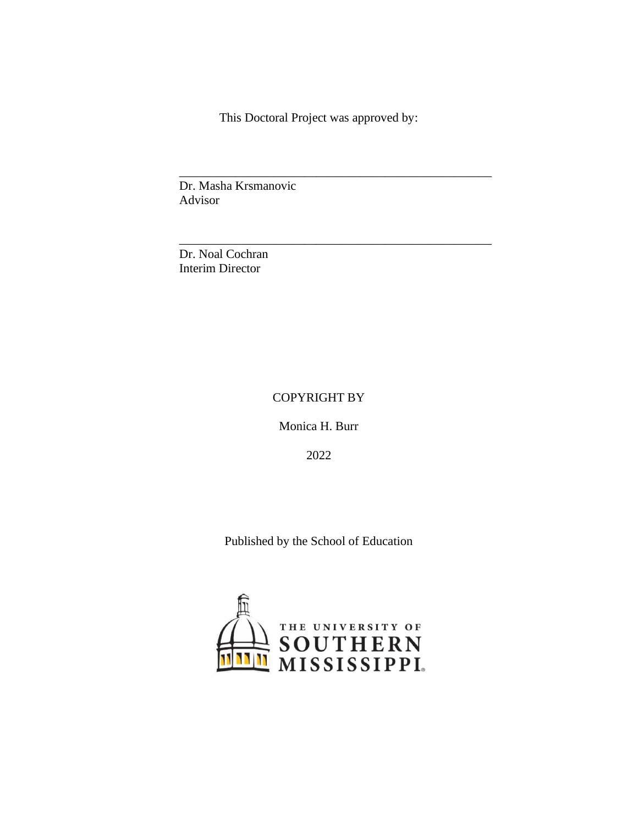This Doctoral Project was approved by:

*\_\_\_\_\_\_\_\_\_\_\_\_\_\_\_\_\_\_\_\_\_\_\_\_\_\_\_\_\_\_\_\_\_\_\_\_\_\_\_\_\_\_\_\_\_\_\_\_\_\_*

*\_\_\_\_\_\_\_\_\_\_\_\_\_\_\_\_\_\_\_\_\_\_\_\_\_\_\_\_\_\_\_\_\_\_\_\_\_\_\_\_\_\_\_\_\_\_\_\_\_\_*

Dr. Masha Krsmanovic Advisor

Dr. Noal Cochran Interim Director

# COPYRIGHT BY

Monica H. Burr

2022

Published by the School of Education

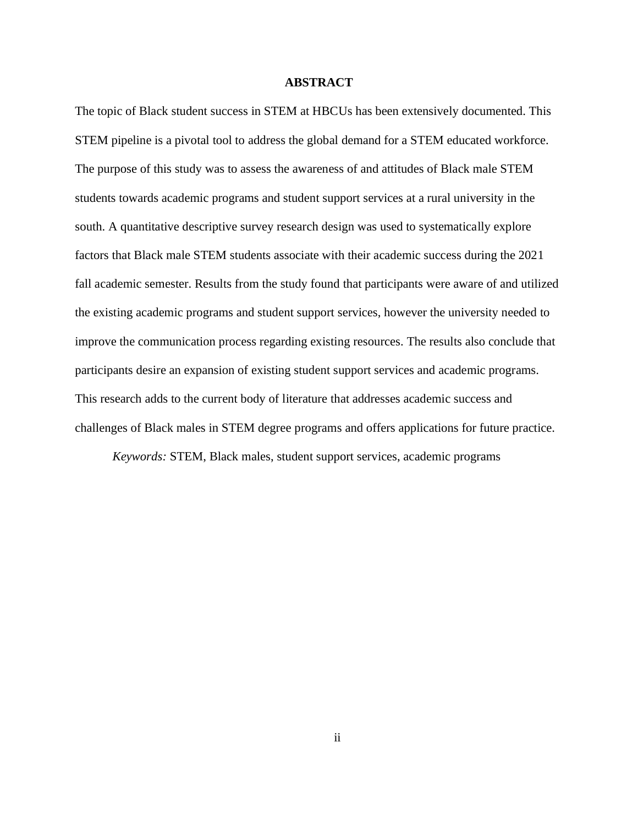#### **ABSTRACT**

<span id="page-3-0"></span>The topic of Black student success in STEM at HBCUs has been extensively documented. This STEM pipeline is a pivotal tool to address the global demand for a STEM educated workforce. The purpose of this study was to assess the awareness of and attitudes of Black male STEM students towards academic programs and student support services at a rural university in the south. A quantitative descriptive survey research design was used to systematically explore factors that Black male STEM students associate with their academic success during the 2021 fall academic semester. Results from the study found that participants were aware of and utilized the existing academic programs and student support services, however the university needed to improve the communication process regarding existing resources. The results also conclude that participants desire an expansion of existing student support services and academic programs. This research adds to the current body of literature that addresses academic success and challenges of Black males in STEM degree programs and offers applications for future practice.

*Keywords:* STEM, Black males, student support services, academic programs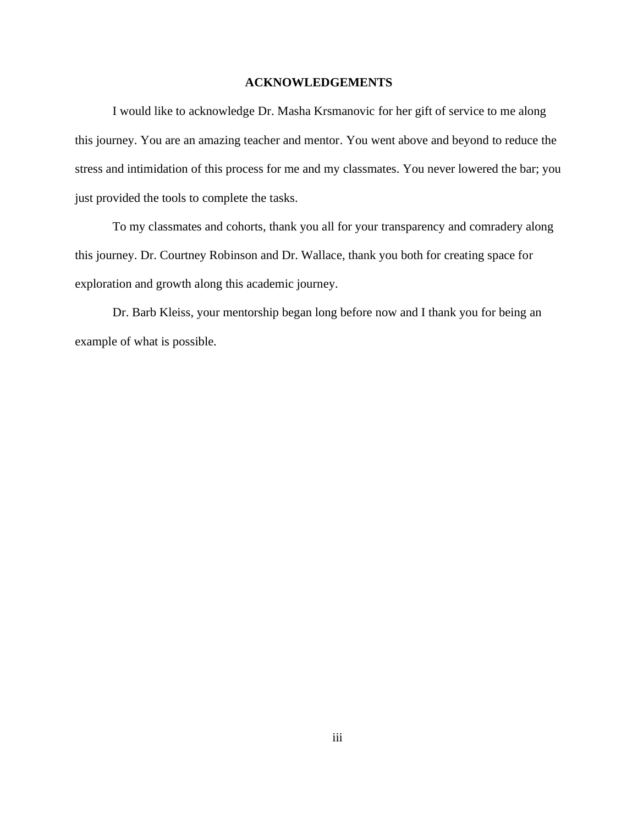# **ACKNOWLEDGEMENTS**

<span id="page-4-0"></span>I would like to acknowledge Dr. Masha Krsmanovic for her gift of service to me along this journey. You are an amazing teacher and mentor. You went above and beyond to reduce the stress and intimidation of this process for me and my classmates. You never lowered the bar; you just provided the tools to complete the tasks.

To my classmates and cohorts, thank you all for your transparency and comradery along this journey. Dr. Courtney Robinson and Dr. Wallace, thank you both for creating space for exploration and growth along this academic journey.

Dr. Barb Kleiss, your mentorship began long before now and I thank you for being an example of what is possible.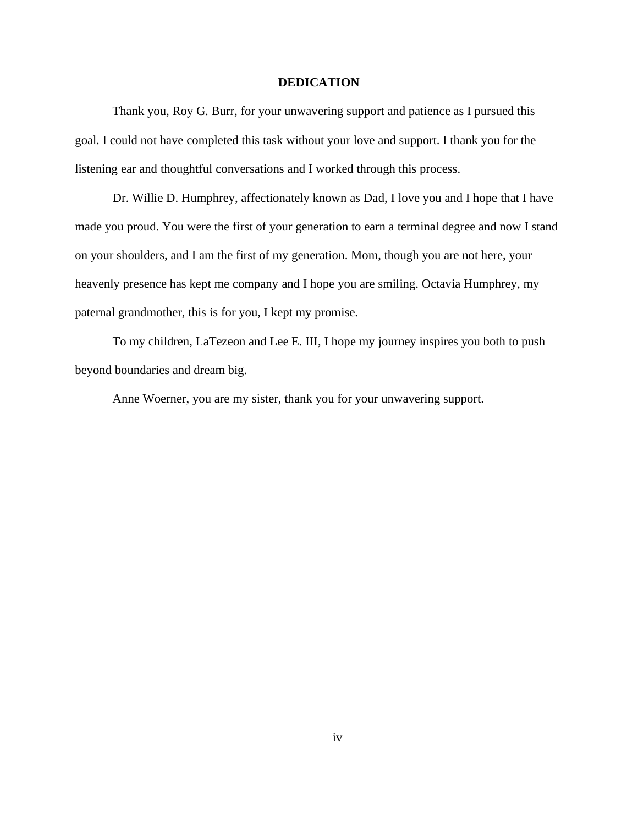#### **DEDICATION**

<span id="page-5-0"></span>Thank you, Roy G. Burr, for your unwavering support and patience as I pursued this goal. I could not have completed this task without your love and support. I thank you for the listening ear and thoughtful conversations and I worked through this process.

Dr. Willie D. Humphrey, affectionately known as Dad, I love you and I hope that I have made you proud. You were the first of your generation to earn a terminal degree and now I stand on your shoulders, and I am the first of my generation. Mom, though you are not here, your heavenly presence has kept me company and I hope you are smiling. Octavia Humphrey, my paternal grandmother, this is for you, I kept my promise.

To my children, LaTezeon and Lee E. III, I hope my journey inspires you both to push beyond boundaries and dream big.

Anne Woerner, you are my sister, thank you for your unwavering support.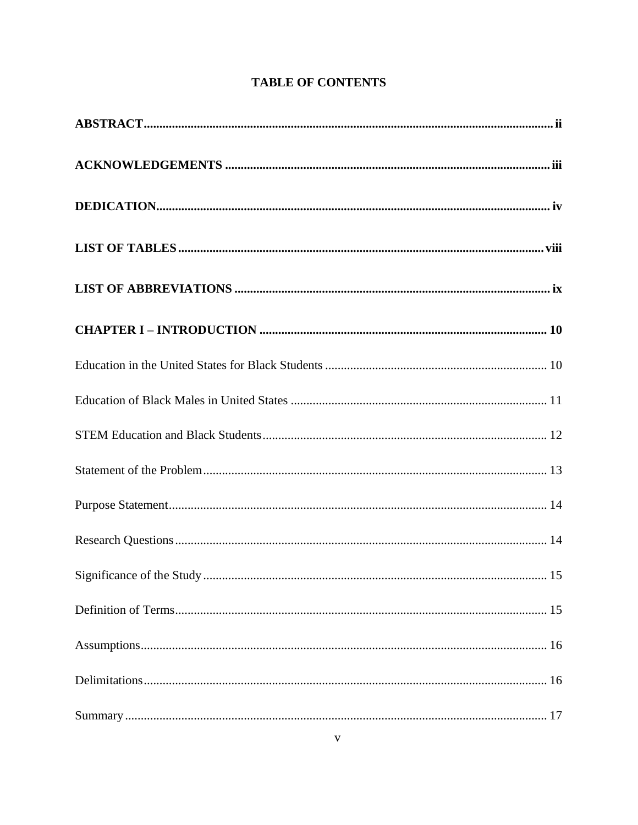# **TABLE OF CONTENTS**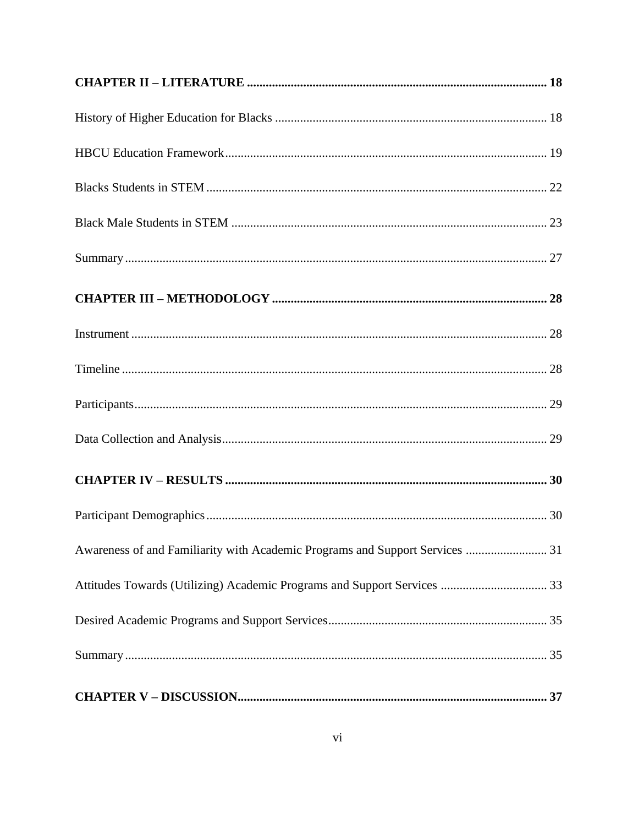| Awareness of and Familiarity with Academic Programs and Support Services  31 |
|------------------------------------------------------------------------------|
|                                                                              |
|                                                                              |
|                                                                              |
|                                                                              |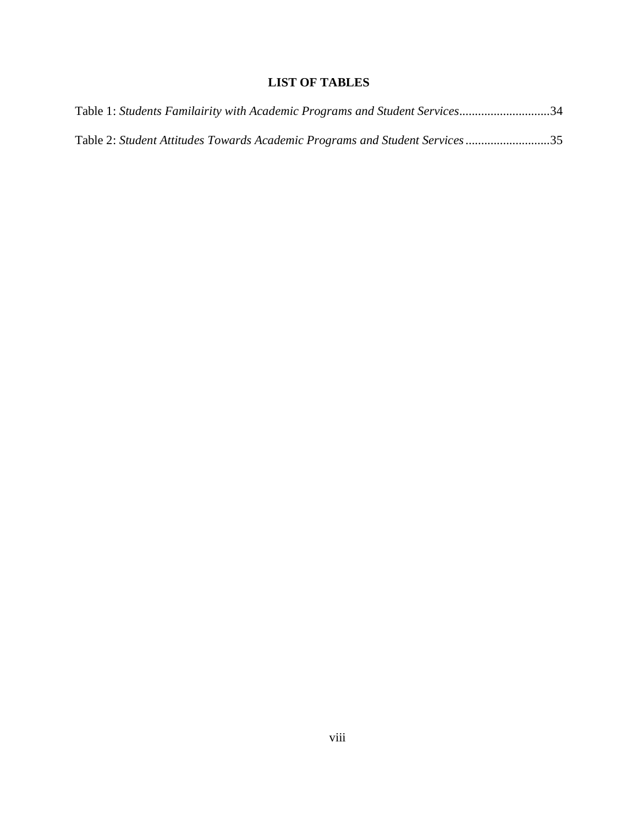# **LIST OF TABLES**

<span id="page-9-0"></span>

| Table 1: Students Familairity with Academic Programs and Student Services34 |  |  |
|-----------------------------------------------------------------------------|--|--|
| Table 2: Student Attitudes Towards Academic Programs and Student Services35 |  |  |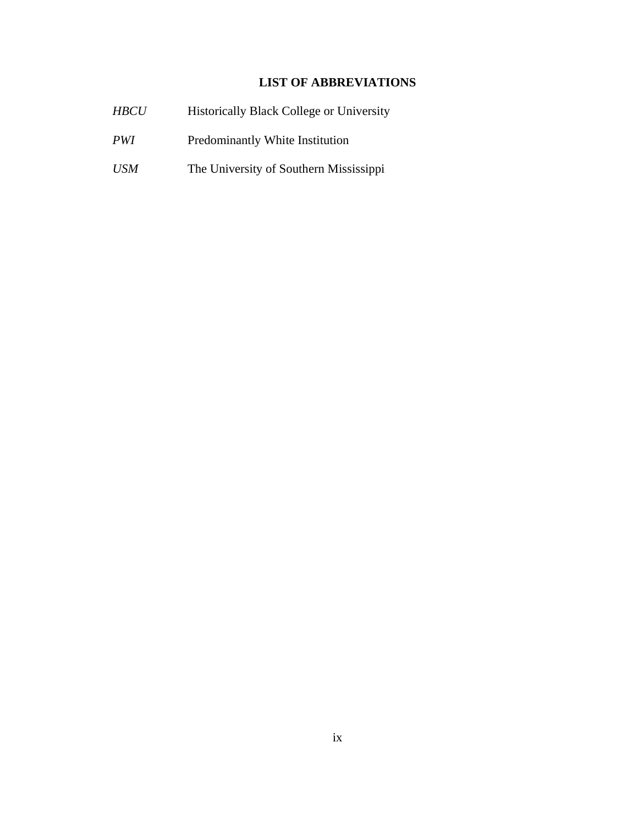# **LIST OF ABBREVIATIONS**

<span id="page-10-0"></span>

| <b>HBCU</b> | <b>Historically Black College or University</b> |
|-------------|-------------------------------------------------|
| <i>PWI</i>  | Predominantly White Institution                 |
| <i>USM</i>  | The University of Southern Mississippi          |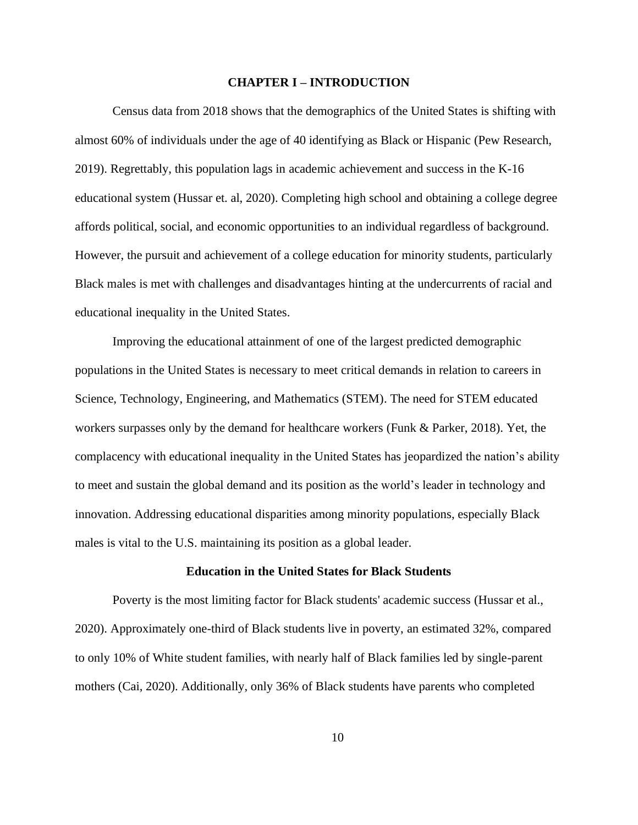#### **CHAPTER I – INTRODUCTION**

<span id="page-11-0"></span>Census data from 2018 shows that the demographics of the United States is shifting with almost 60% of individuals under the age of 40 identifying as Black or Hispanic (Pew Research, 2019). Regrettably, this population lags in academic achievement and success in the K-16 educational system (Hussar et. al, 2020). Completing high school and obtaining a college degree affords political, social, and economic opportunities to an individual regardless of background. However, the pursuit and achievement of a college education for minority students, particularly Black males is met with challenges and disadvantages hinting at the undercurrents of racial and educational inequality in the United States.

Improving the educational attainment of one of the largest predicted demographic populations in the United States is necessary to meet critical demands in relation to careers in Science, Technology, Engineering, and Mathematics (STEM). The need for STEM educated workers surpasses only by the demand for healthcare workers (Funk & Parker, 2018). Yet, the complacency with educational inequality in the United States has jeopardized the nation's ability to meet and sustain the global demand and its position as the world's leader in technology and innovation. Addressing educational disparities among minority populations, especially Black males is vital to the U.S. maintaining its position as a global leader.

#### **Education in the United States for Black Students**

<span id="page-11-1"></span>Poverty is the most limiting factor for Black students' academic success (Hussar et al., 2020). Approximately one-third of Black students live in poverty, an estimated 32%, compared to only 10% of White student families, with nearly half of Black families led by single-parent mothers (Cai, 2020). Additionally, only 36% of Black students have parents who completed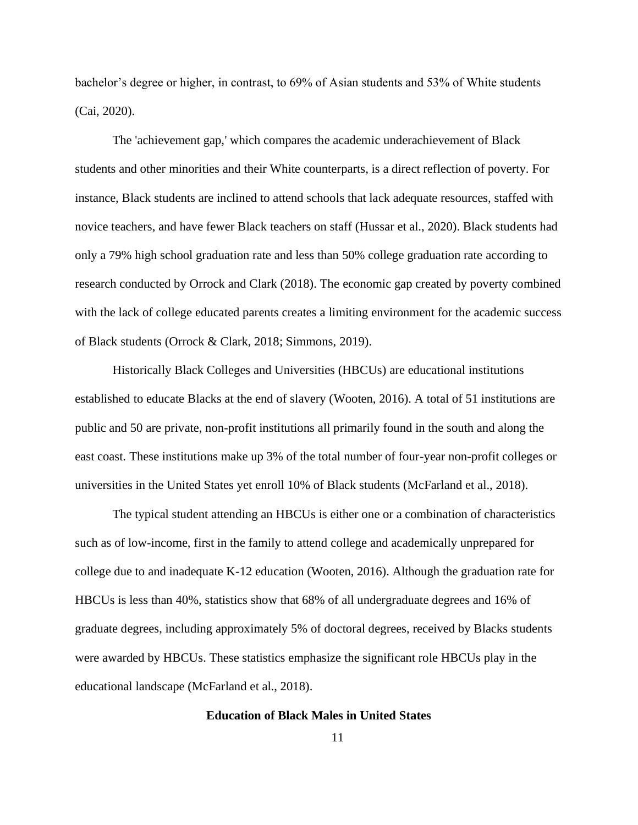bachelor's degree or higher, in contrast, to 69% of Asian students and 53% of White students (Cai, 2020).

The 'achievement gap,' which compares the academic underachievement of Black students and other minorities and their White counterparts, is a direct reflection of poverty. For instance, Black students are inclined to attend schools that lack adequate resources, staffed with novice teachers, and have fewer Black teachers on staff (Hussar et al., 2020). Black students had only a 79% high school graduation rate and less than 50% college graduation rate according to research conducted by Orrock and Clark (2018). The economic gap created by poverty combined with the lack of college educated parents creates a limiting environment for the academic success of Black students (Orrock & Clark, 2018; Simmons, 2019).

Historically Black Colleges and Universities (HBCUs) are educational institutions established to educate Blacks at the end of slavery (Wooten, 2016). A total of 51 institutions are public and 50 are private, non-profit institutions all primarily found in the south and along the east coast. These institutions make up 3% of the total number of four-year non-profit colleges or universities in the United States yet enroll 10% of Black students (McFarland et al., 2018).

The typical student attending an HBCUs is either one or a combination of characteristics such as of low-income, first in the family to attend college and academically unprepared for college due to and inadequate K-12 education (Wooten, 2016). Although the graduation rate for HBCUs is less than 40%, statistics show that 68% of all undergraduate degrees and 16% of graduate degrees, including approximately 5% of doctoral degrees, received by Blacks students were awarded by HBCUs. These statistics emphasize the significant role HBCUs play in the educational landscape (McFarland et al., 2018).

# **Education of Black Males in United States**

<span id="page-12-0"></span>11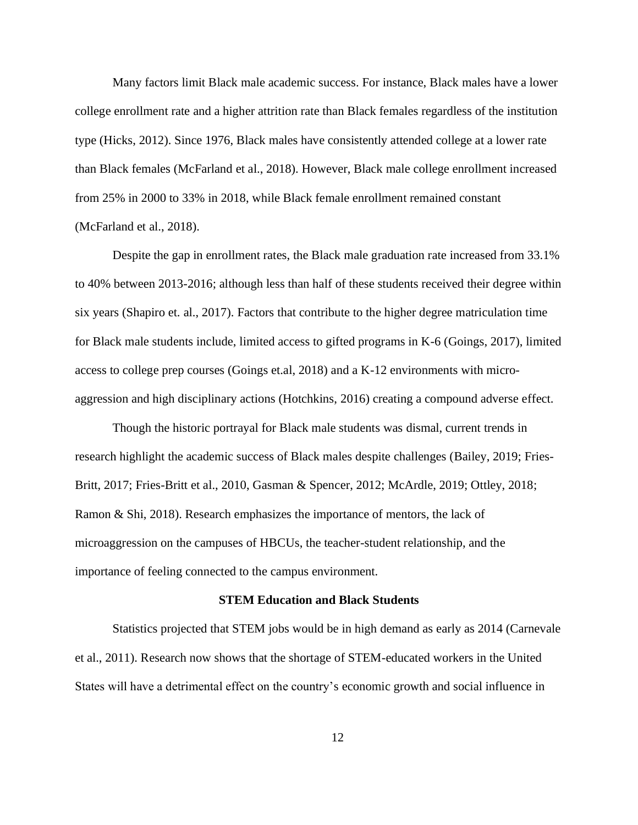Many factors limit Black male academic success. For instance, Black males have a lower college enrollment rate and a higher attrition rate than Black females regardless of the institution type (Hicks, 2012). Since 1976, Black males have consistently attended college at a lower rate than Black females (McFarland et al., 2018). However, Black male college enrollment increased from 25% in 2000 to 33% in 2018, while Black female enrollment remained constant (McFarland et al., 2018).

Despite the gap in enrollment rates, the Black male graduation rate increased from 33.1% to 40% between 2013-2016; although less than half of these students received their degree within six years (Shapiro et. al., 2017). Factors that contribute to the higher degree matriculation time for Black male students include, limited access to gifted programs in K-6 (Goings, 2017), limited access to college prep courses (Goings et.al, 2018) and a K-12 environments with microaggression and high disciplinary actions (Hotchkins, 2016) creating a compound adverse effect.

Though the historic portrayal for Black male students was dismal, current trends in research highlight the academic success of Black males despite challenges (Bailey, 2019; Fries-Britt, 2017; Fries-Britt et al., 2010, Gasman & Spencer, 2012; McArdle, 2019; Ottley, 2018; Ramon & Shi, 2018). Research emphasizes the importance of mentors, the lack of microaggression on the campuses of HBCUs, the teacher-student relationship, and the importance of feeling connected to the campus environment.

# **STEM Education and Black Students**

<span id="page-13-0"></span>Statistics projected that STEM jobs would be in high demand as early as 2014 (Carnevale et al., 2011). Research now shows that the shortage of STEM-educated workers in the United States will have a detrimental effect on the country's economic growth and social influence in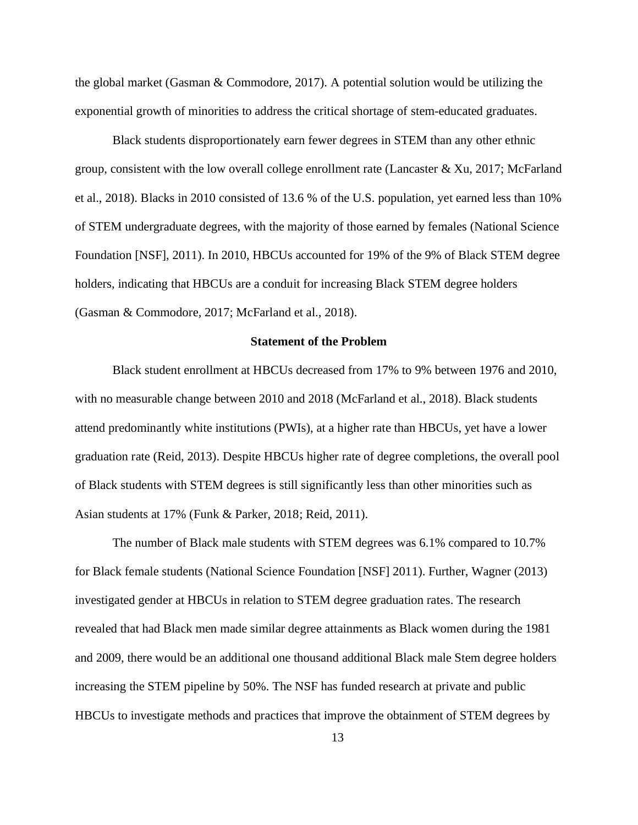the global market (Gasman & Commodore, 2017). A potential solution would be utilizing the exponential growth of minorities to address the critical shortage of stem-educated graduates.

Black students disproportionately earn fewer degrees in STEM than any other ethnic group, consistent with the low overall college enrollment rate (Lancaster & Xu, 2017; McFarland et al., 2018). Blacks in 2010 consisted of 13.6 % of the U.S. population, yet earned less than 10% of STEM undergraduate degrees, with the majority of those earned by females (National Science Foundation [NSF], 2011). In 2010, HBCUs accounted for 19% of the 9% of Black STEM degree holders, indicating that HBCUs are a conduit for increasing Black STEM degree holders (Gasman & Commodore, 2017; McFarland et al., 2018).

# <span id="page-14-0"></span>**Statement of the Problem**

Black student enrollment at HBCUs decreased from 17% to 9% between 1976 and 2010, with no measurable change between 2010 and 2018 (McFarland et al., 2018). Black students attend predominantly white institutions (PWIs), at a higher rate than HBCUs, yet have a lower graduation rate (Reid, 2013). Despite HBCUs higher rate of degree completions, the overall pool of Black students with STEM degrees is still significantly less than other minorities such as Asian students at 17% (Funk & Parker, 2018; Reid, 2011).

The number of Black male students with STEM degrees was 6.1% compared to 10.7% for Black female students (National Science Foundation [NSF] 2011). Further, Wagner (2013) investigated gender at HBCUs in relation to STEM degree graduation rates. The research revealed that had Black men made similar degree attainments as Black women during the 1981 and 2009, there would be an additional one thousand additional Black male Stem degree holders increasing the STEM pipeline by 50%. The NSF has funded research at private and public HBCUs to investigate methods and practices that improve the obtainment of STEM degrees by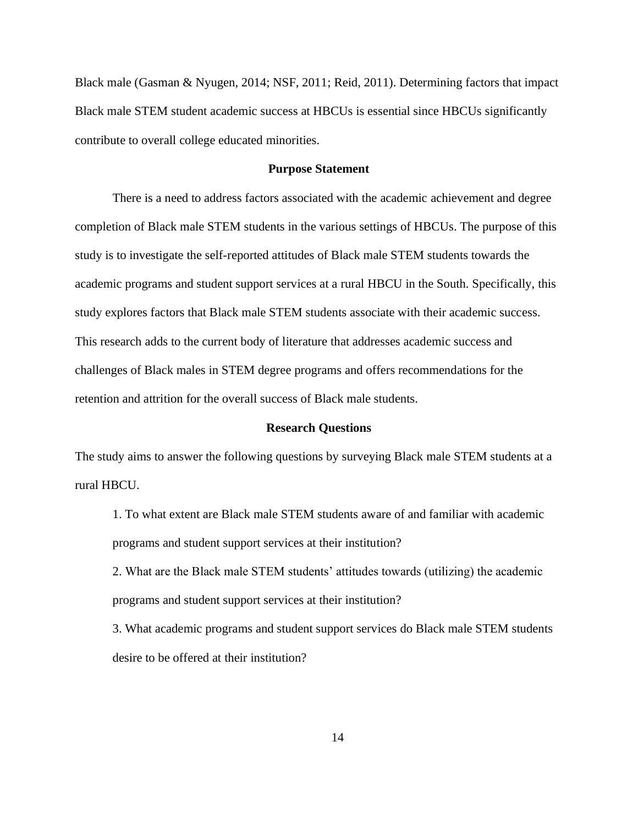Black male (Gasman & Nyugen, 2014; NSF, 2011; Reid, 2011). Determining factors that impact Black male STEM student academic success at HBCUs is essential since HBCUs significantly contribute to overall college educated minorities.

# **Purpose Statement**

<span id="page-15-0"></span>There is a need to address factors associated with the academic achievement and degree completion of Black male STEM students in the various settings of HBCUs. The purpose of this study is to investigate the self-reported attitudes of Black male STEM students towards the academic programs and student support services at a rural HBCU in the South. Specifically, this study explores factors that Black male STEM students associate with their academic success. This research adds to the current body of literature that addresses academic success and challenges of Black males in STEM degree programs and offers recommendations for the retention and attrition for the overall success of Black male students.

#### **Research Questions**

<span id="page-15-1"></span>The study aims to answer the following questions by surveying Black male STEM students at a rural HBCU.

1. To what extent are Black male STEM students aware of and familiar with academic programs and student support services at their institution?

2. What are the Black male STEM students' attitudes towards (utilizing) the academic programs and student support services at their institution?

3. What academic programs and student support services do Black male STEM students desire to be offered at their institution?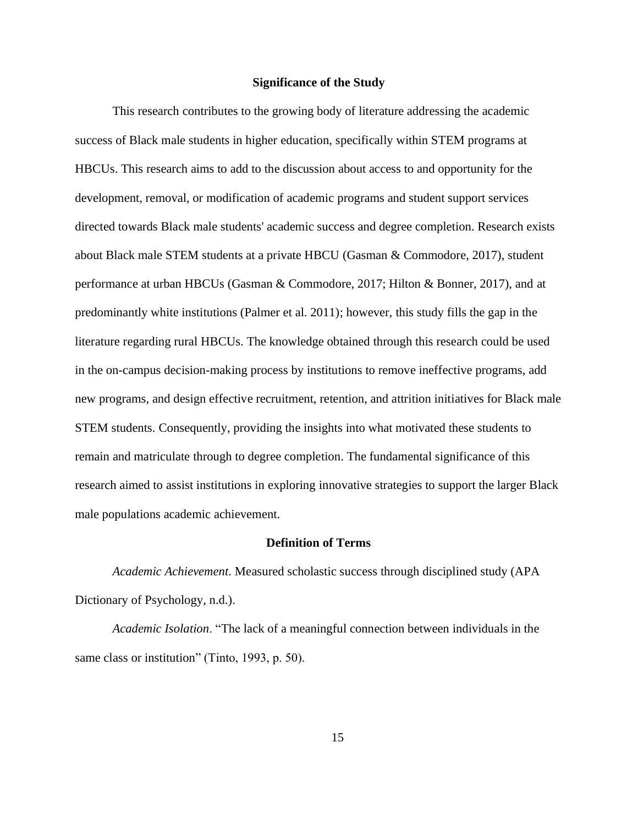# **Significance of the Study**

<span id="page-16-0"></span>This research contributes to the growing body of literature addressing the academic success of Black male students in higher education, specifically within STEM programs at HBCUs. This research aims to add to the discussion about access to and opportunity for the development, removal, or modification of academic programs and student support services directed towards Black male students' academic success and degree completion. Research exists about Black male STEM students at a private HBCU (Gasman & Commodore, 2017), student performance at urban HBCUs (Gasman & Commodore, 2017; Hilton & Bonner, 2017), and at predominantly white institutions (Palmer et al. 2011); however, this study fills the gap in the literature regarding rural HBCUs. The knowledge obtained through this research could be used in the on-campus decision-making process by institutions to remove ineffective programs, add new programs, and design effective recruitment, retention, and attrition initiatives for Black male STEM students. Consequently, providing the insights into what motivated these students to remain and matriculate through to degree completion. The fundamental significance of this research aimed to assist institutions in exploring innovative strategies to support the larger Black male populations academic achievement.

### **Definition of Terms**

<span id="page-16-1"></span>*Academic Achievement*. Measured scholastic success through disciplined study (APA Dictionary of Psychology, n.d.).

*Academic Isolation*. "The lack of a meaningful connection between individuals in the same class or institution" (Tinto, 1993, p. 50).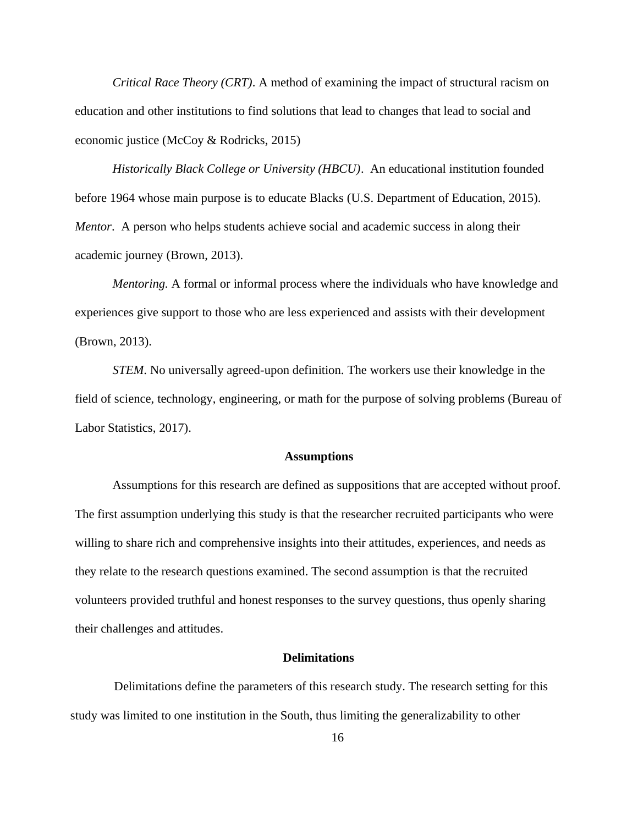*Critical Race Theory (CRT)*. A method of examining the impact of structural racism on education and other institutions to find solutions that lead to changes that lead to social and economic justice (McCoy & Rodricks, 2015)

*Historically Black College or University (HBCU)*. An educational institution founded before 1964 whose main purpose is to educate Blacks (U.S. Department of Education, 2015). *Mentor*. A person who helps students achieve social and academic success in along their academic journey (Brown, 2013).

*Mentoring.* A formal or informal process where the individuals who have knowledge and experiences give support to those who are less experienced and assists with their development (Brown, 2013).

*STEM*. No universally agreed-upon definition. The workers use their knowledge in the field of science, technology, engineering, or math for the purpose of solving problems (Bureau of Labor Statistics, 2017).

#### **Assumptions**

<span id="page-17-0"></span>Assumptions for this research are defined as suppositions that are accepted without proof. The first assumption underlying this study is that the researcher recruited participants who were willing to share rich and comprehensive insights into their attitudes, experiences, and needs as they relate to the research questions examined. The second assumption is that the recruited volunteers provided truthful and honest responses to the survey questions, thus openly sharing their challenges and attitudes.

#### **Delimitations**

<span id="page-17-1"></span> Delimitations define the parameters of this research study. The research setting for this study was limited to one institution in the South, thus limiting the generalizability to other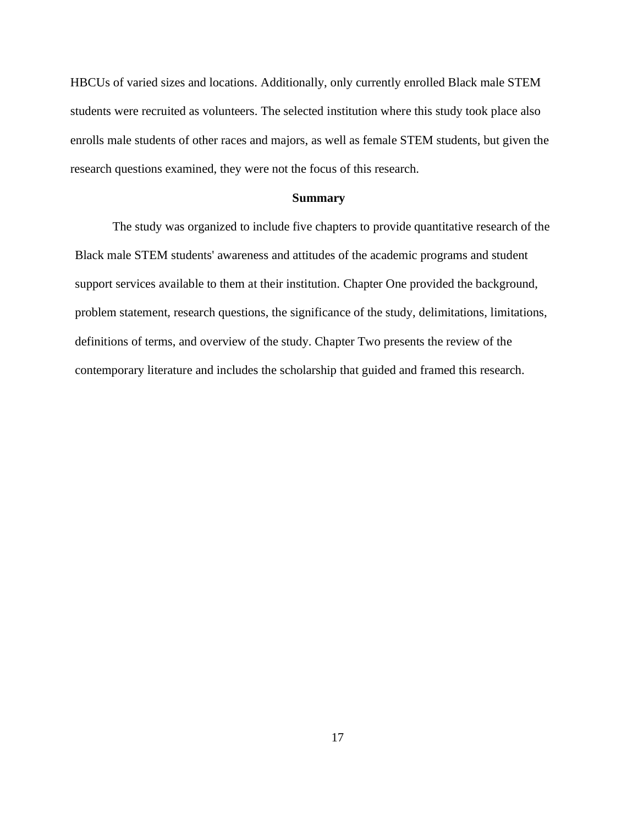HBCUs of varied sizes and locations. Additionally, only currently enrolled Black male STEM students were recruited as volunteers. The selected institution where this study took place also enrolls male students of other races and majors, as well as female STEM students, but given the research questions examined, they were not the focus of this research.

#### **Summary**

<span id="page-18-0"></span>The study was organized to include five chapters to provide quantitative research of the Black male STEM students' awareness and attitudes of the academic programs and student support services available to them at their institution. Chapter One provided the background, problem statement, research questions, the significance of the study, delimitations, limitations, definitions of terms, and overview of the study. Chapter Two presents the review of the contemporary literature and includes the scholarship that guided and framed this research.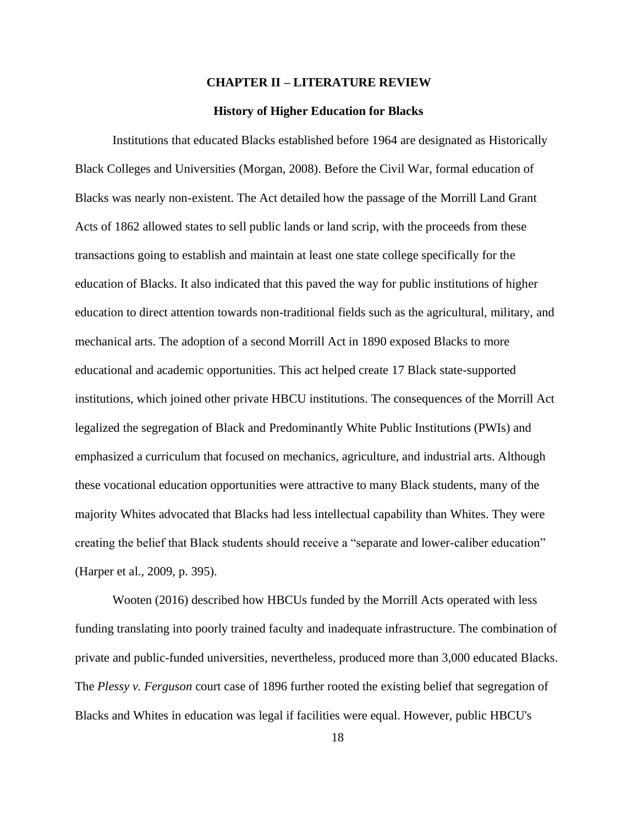#### **CHAPTER II – LITERATURE REVIEW**

#### **History of Higher Education for Blacks**

<span id="page-19-1"></span><span id="page-19-0"></span>Institutions that educated Blacks established before 1964 are designated as Historically Black Colleges and Universities (Morgan, 2008). Before the Civil War, formal education of Blacks was nearly non-existent. The Act detailed how the passage of the Morrill Land Grant Acts of 1862 allowed states to sell public lands or land scrip, with the proceeds from these transactions going to establish and maintain at least one state college specifically for the education of Blacks. It also indicated that this paved the way for public institutions of higher education to direct attention towards non-traditional fields such as the agricultural, military, and mechanical arts. The adoption of a second Morrill Act in 1890 exposed Blacks to more educational and academic opportunities. This act helped create 17 Black state-supported institutions, which joined other private HBCU institutions. The consequences of the Morrill Act legalized the segregation of Black and Predominantly White Public Institutions (PWIs) and emphasized a curriculum that focused on mechanics, agriculture, and industrial arts. Although these vocational education opportunities were attractive to many Black students, many of the majority Whites advocated that Blacks had less intellectual capability than Whites. They were creating the belief that Black students should receive a "separate and lower-caliber education" (Harper et al., 2009, p. 395).

Wooten (2016) described how HBCUs funded by the Morrill Acts operated with less funding translating into poorly trained faculty and inadequate infrastructure. The combination of private and public-funded universities, nevertheless, produced more than 3,000 educated Blacks. The *Plessy v. Ferguson* court case of 1896 further rooted the existing belief that segregation of Blacks and Whites in education was legal if facilities were equal. However, public HBCU's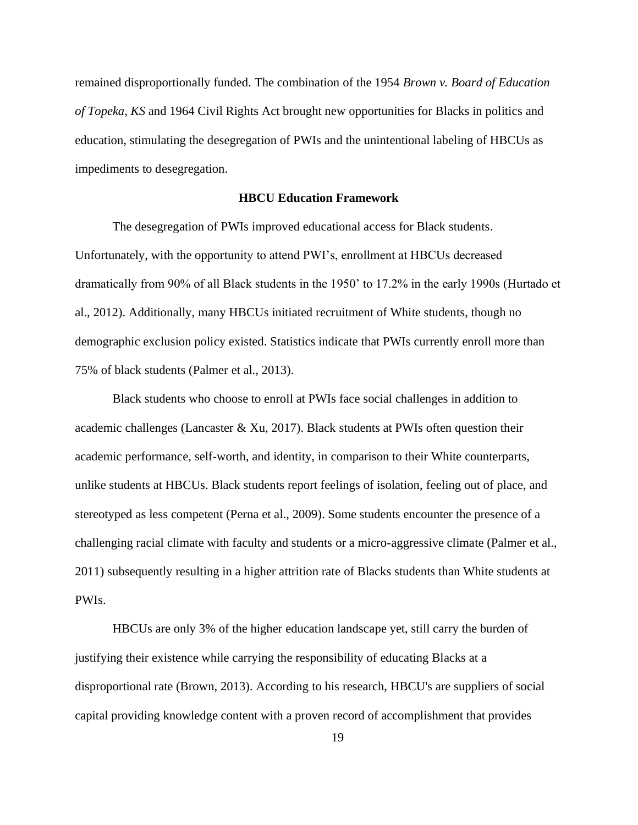remained disproportionally funded. The combination of the 1954 *Brown v. Board of Education of Topeka, KS* and 1964 Civil Rights Act brought new opportunities for Blacks in politics and education, stimulating the desegregation of PWIs and the unintentional labeling of HBCUs as impediments to desegregation.

# <span id="page-20-0"></span>**HBCU Education Framework**

The desegregation of PWIs improved educational access for Black students. Unfortunately, with the opportunity to attend PWI's, enrollment at HBCUs decreased dramatically from 90% of all Black students in the 1950' to 17.2% in the early 1990s (Hurtado et al., 2012). Additionally, many HBCUs initiated recruitment of White students, though no demographic exclusion policy existed. Statistics indicate that PWIs currently enroll more than 75% of black students (Palmer et al., 2013).

Black students who choose to enroll at PWIs face social challenges in addition to academic challenges (Lancaster  $\&$  Xu, 2017). Black students at PWIs often question their academic performance, self-worth, and identity, in comparison to their White counterparts, unlike students at HBCUs. Black students report feelings of isolation, feeling out of place, and stereotyped as less competent (Perna et al., 2009). Some students encounter the presence of a challenging racial climate with faculty and students or a micro-aggressive climate (Palmer et al., 2011) subsequently resulting in a higher attrition rate of Blacks students than White students at PWIs.

HBCUs are only 3% of the higher education landscape yet, still carry the burden of justifying their existence while carrying the responsibility of educating Blacks at a disproportional rate (Brown, 2013). According to his research, HBCU's are suppliers of social capital providing knowledge content with a proven record of accomplishment that provides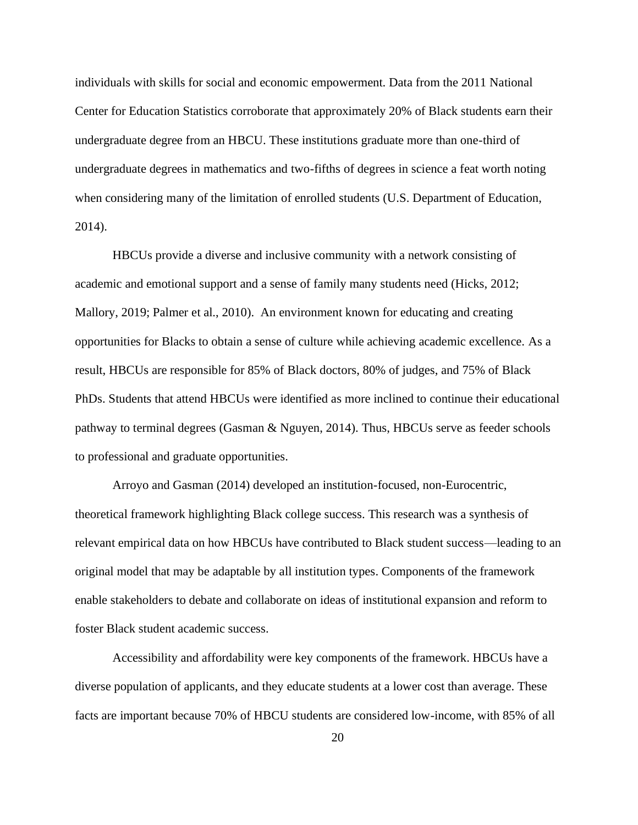individuals with skills for social and economic empowerment. Data from the 2011 National Center for Education Statistics corroborate that approximately 20% of Black students earn their undergraduate degree from an HBCU. These institutions graduate more than one-third of undergraduate degrees in mathematics and two-fifths of degrees in science a feat worth noting when considering many of the limitation of enrolled students (U.S. Department of Education, 2014).

HBCUs provide a diverse and inclusive community with a network consisting of academic and emotional support and a sense of family many students need (Hicks, 2012; Mallory, 2019; Palmer et al., 2010). An environment known for educating and creating opportunities for Blacks to obtain a sense of culture while achieving academic excellence. As a result, HBCUs are responsible for 85% of Black doctors, 80% of judges, and 75% of Black PhDs. Students that attend HBCUs were identified as more inclined to continue their educational pathway to terminal degrees (Gasman & Nguyen, 2014). Thus, HBCUs serve as feeder schools to professional and graduate opportunities.

Arroyo and Gasman (2014) developed an institution-focused, non-Eurocentric, theoretical framework highlighting Black college success. This research was a synthesis of relevant empirical data on how HBCUs have contributed to Black student success—leading to an original model that may be adaptable by all institution types. Components of the framework enable stakeholders to debate and collaborate on ideas of institutional expansion and reform to foster Black student academic success.

Accessibility and affordability were key components of the framework. HBCUs have a diverse population of applicants, and they educate students at a lower cost than average. These facts are important because 70% of HBCU students are considered low-income, with 85% of all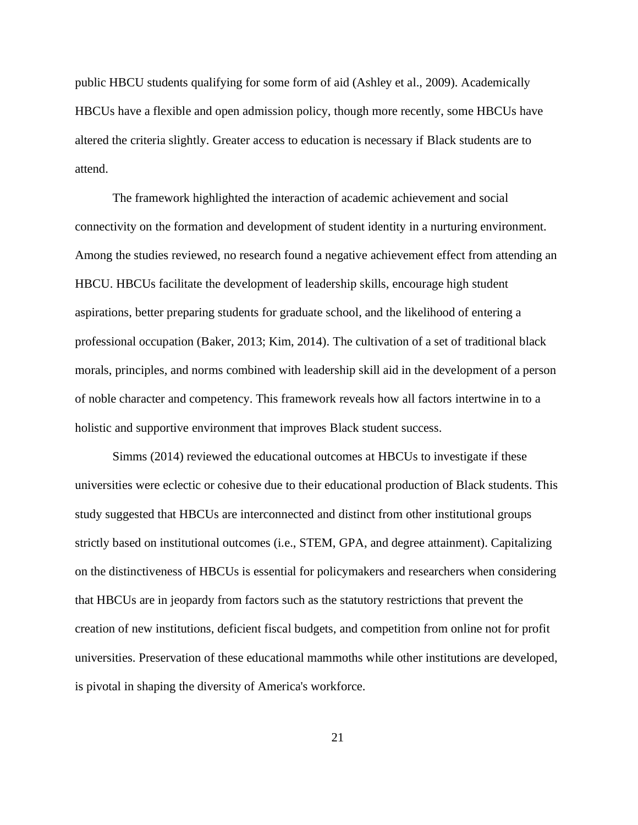public HBCU students qualifying for some form of aid (Ashley et al., 2009). Academically HBCUs have a flexible and open admission policy, though more recently, some HBCUs have altered the criteria slightly. Greater access to education is necessary if Black students are to attend.

The framework highlighted the interaction of academic achievement and social connectivity on the formation and development of student identity in a nurturing environment. Among the studies reviewed, no research found a negative achievement effect from attending an HBCU. HBCUs facilitate the development of leadership skills, encourage high student aspirations, better preparing students for graduate school, and the likelihood of entering a professional occupation (Baker, 2013; Kim, 2014). The cultivation of a set of traditional black morals, principles, and norms combined with leadership skill aid in the development of a person of noble character and competency. This framework reveals how all factors intertwine in to a holistic and supportive environment that improves Black student success.

Simms (2014) reviewed the educational outcomes at HBCUs to investigate if these universities were eclectic or cohesive due to their educational production of Black students. This study suggested that HBCUs are interconnected and distinct from other institutional groups strictly based on institutional outcomes (i.e., STEM, GPA, and degree attainment). Capitalizing on the distinctiveness of HBCUs is essential for policymakers and researchers when considering that HBCUs are in jeopardy from factors such as the statutory restrictions that prevent the creation of new institutions, deficient fiscal budgets, and competition from online not for profit universities. Preservation of these educational mammoths while other institutions are developed, is pivotal in shaping the diversity of America's workforce.

21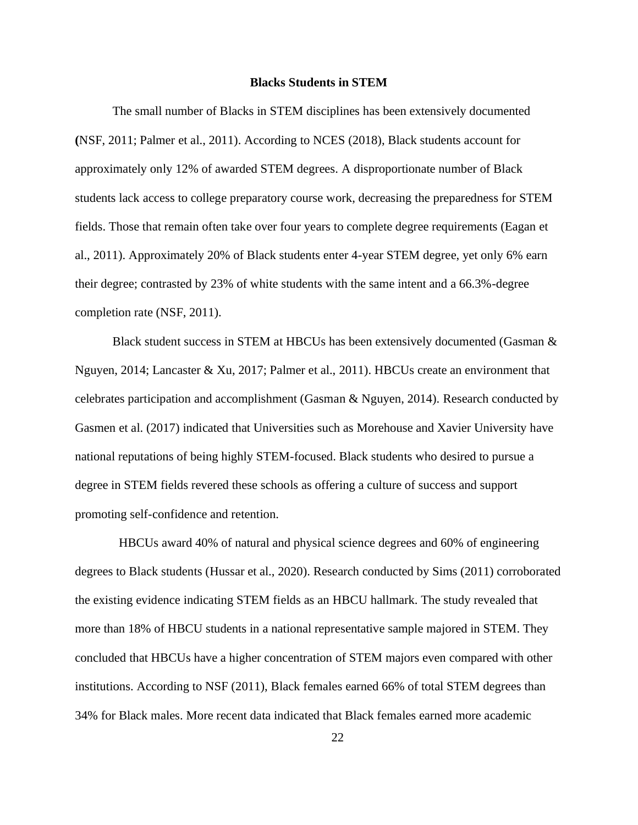#### **Blacks Students in STEM**

<span id="page-23-0"></span>The small number of Blacks in STEM disciplines has been extensively documented **(**NSF, 2011; Palmer et al., 2011). According to NCES (2018), Black students account for approximately only 12% of awarded STEM degrees. A disproportionate number of Black students lack access to college preparatory course work, decreasing the preparedness for STEM fields. Those that remain often take over four years to complete degree requirements (Eagan et al., 2011). Approximately 20% of Black students enter 4-year STEM degree, yet only 6% earn their degree; contrasted by 23% of white students with the same intent and a 66.3%-degree completion rate (NSF, 2011).

Black student success in STEM at HBCUs has been extensively documented (Gasman & Nguyen, 2014; Lancaster & Xu, 2017; Palmer et al., 2011). HBCUs create an environment that celebrates participation and accomplishment (Gasman & Nguyen, 2014). Research conducted by Gasmen et al. (2017) indicated that Universities such as Morehouse and Xavier University have national reputations of being highly STEM-focused. Black students who desired to pursue a degree in STEM fields revered these schools as offering a culture of success and support promoting self-confidence and retention.

 HBCUs award 40% of natural and physical science degrees and 60% of engineering degrees to Black students (Hussar et al., 2020). Research conducted by Sims (2011) corroborated the existing evidence indicating STEM fields as an HBCU hallmark. The study revealed that more than 18% of HBCU students in a national representative sample majored in STEM. They concluded that HBCUs have a higher concentration of STEM majors even compared with other institutions. According to NSF (2011), Black females earned 66% of total STEM degrees than 34% for Black males. More recent data indicated that Black females earned more academic

22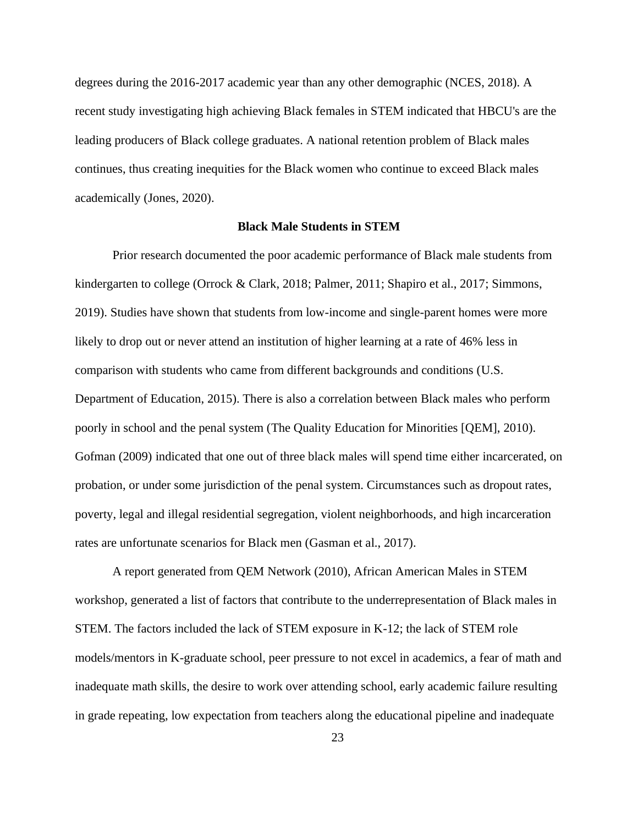degrees during the 2016-2017 academic year than any other demographic (NCES, 2018). A recent study investigating high achieving Black females in STEM indicated that HBCU's are the leading producers of Black college graduates. A national retention problem of Black males continues, thus creating inequities for the Black women who continue to exceed Black males academically (Jones, 2020).

# <span id="page-24-0"></span>**Black Male Students in STEM**

Prior research documented the poor academic performance of Black male students from kindergarten to college (Orrock & Clark, 2018; Palmer, 2011; Shapiro et al., 2017; Simmons, 2019). Studies have shown that students from low-income and single-parent homes were more likely to drop out or never attend an institution of higher learning at a rate of 46% less in comparison with students who came from different backgrounds and conditions (U.S. Department of Education, 2015). There is also a correlation between Black males who perform poorly in school and the penal system (The Quality Education for Minorities [QEM], 2010). Gofman (2009) indicated that one out of three black males will spend time either incarcerated, on probation, or under some jurisdiction of the penal system. Circumstances such as dropout rates, poverty, legal and illegal residential segregation, violent neighborhoods, and high incarceration rates are unfortunate scenarios for Black men (Gasman et al., 2017).

A report generated from QEM Network (2010), African American Males in STEM workshop, generated a list of factors that contribute to the underrepresentation of Black males in STEM. The factors included the lack of STEM exposure in K-12; the lack of STEM role models/mentors in K-graduate school, peer pressure to not excel in academics, a fear of math and inadequate math skills, the desire to work over attending school, early academic failure resulting in grade repeating, low expectation from teachers along the educational pipeline and inadequate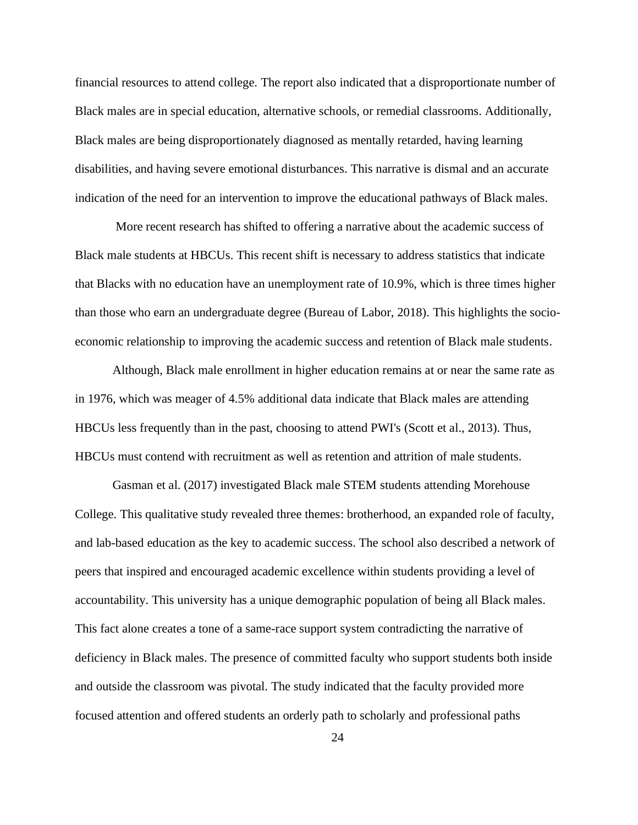financial resources to attend college. The report also indicated that a disproportionate number of Black males are in special education, alternative schools, or remedial classrooms. Additionally, Black males are being disproportionately diagnosed as mentally retarded, having learning disabilities, and having severe emotional disturbances. This narrative is dismal and an accurate indication of the need for an intervention to improve the educational pathways of Black males.

More recent research has shifted to offering a narrative about the academic success of Black male students at HBCUs. This recent shift is necessary to address statistics that indicate that Blacks with no education have an unemployment rate of 10.9%, which is three times higher than those who earn an undergraduate degree (Bureau of Labor, 2018). This highlights the socioeconomic relationship to improving the academic success and retention of Black male students.

Although, Black male enrollment in higher education remains at or near the same rate as in 1976, which was meager of 4.5% additional data indicate that Black males are attending HBCUs less frequently than in the past, choosing to attend PWI's (Scott et al., 2013). Thus, HBCUs must contend with recruitment as well as retention and attrition of male students.

Gasman et al. (2017) investigated Black male STEM students attending Morehouse College. This qualitative study revealed three themes: brotherhood, an expanded role of faculty, and lab-based education as the key to academic success. The school also described a network of peers that inspired and encouraged academic excellence within students providing a level of accountability. This university has a unique demographic population of being all Black males. This fact alone creates a tone of a same-race support system contradicting the narrative of deficiency in Black males. The presence of committed faculty who support students both inside and outside the classroom was pivotal. The study indicated that the faculty provided more focused attention and offered students an orderly path to scholarly and professional paths

24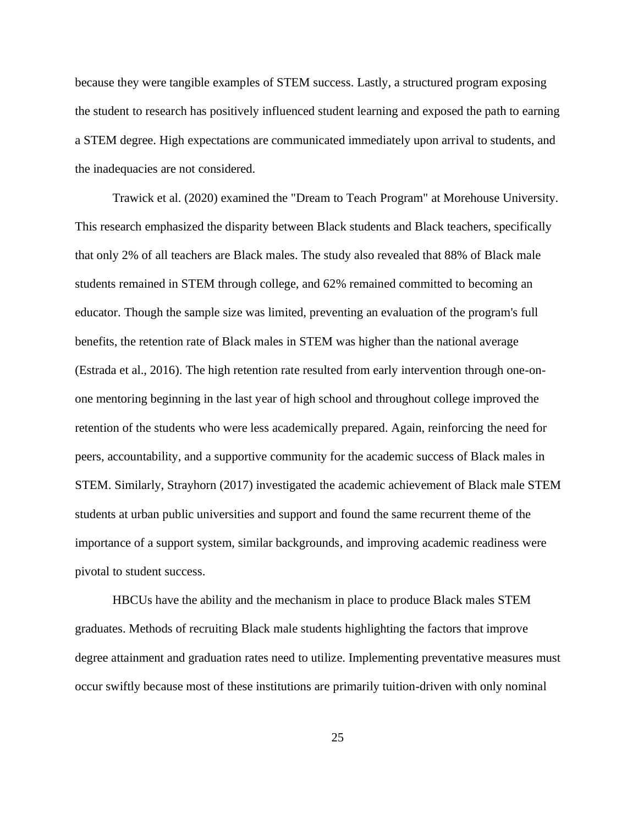because they were tangible examples of STEM success. Lastly, a structured program exposing the student to research has positively influenced student learning and exposed the path to earning a STEM degree. High expectations are communicated immediately upon arrival to students, and the inadequacies are not considered.

Trawick et al. (2020) examined the "Dream to Teach Program" at Morehouse University. This research emphasized the disparity between Black students and Black teachers, specifically that only 2% of all teachers are Black males. The study also revealed that 88% of Black male students remained in STEM through college, and 62% remained committed to becoming an educator. Though the sample size was limited, preventing an evaluation of the program's full benefits, the retention rate of Black males in STEM was higher than the national average (Estrada et al., 2016). The high retention rate resulted from early intervention through one-onone mentoring beginning in the last year of high school and throughout college improved the retention of the students who were less academically prepared. Again, reinforcing the need for peers, accountability, and a supportive community for the academic success of Black males in STEM. Similarly, Strayhorn (2017) investigated the academic achievement of Black male STEM students at urban public universities and support and found the same recurrent theme of the importance of a support system, similar backgrounds, and improving academic readiness were pivotal to student success.

HBCUs have the ability and the mechanism in place to produce Black males STEM graduates. Methods of recruiting Black male students highlighting the factors that improve degree attainment and graduation rates need to utilize. Implementing preventative measures must occur swiftly because most of these institutions are primarily tuition-driven with only nominal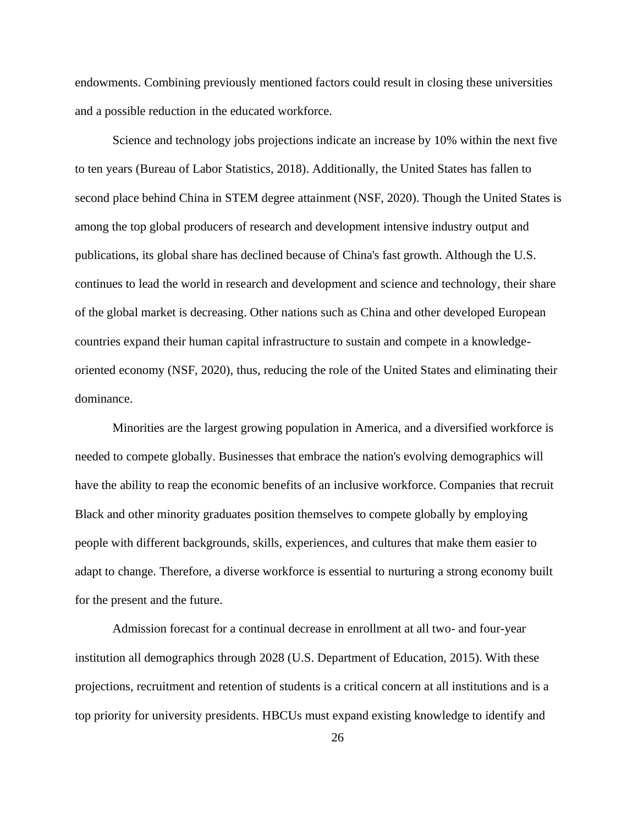endowments. Combining previously mentioned factors could result in closing these universities and a possible reduction in the educated workforce.

Science and technology jobs projections indicate an increase by 10% within the next five to ten years (Bureau of Labor Statistics, 2018). Additionally, the United States has fallen to second place behind China in STEM degree attainment (NSF, 2020). Though the United States is among the top global producers of research and development intensive industry output and publications, its global share has declined because of China's fast growth. Although the U.S. continues to lead the world in research and development and science and technology, their share of the global market is decreasing. Other nations such as China and other developed European countries expand their human capital infrastructure to sustain and compete in a knowledgeoriented economy (NSF, 2020), thus, reducing the role of the United States and eliminating their dominance.

Minorities are the largest growing population in America, and a diversified workforce is needed to compete globally. Businesses that embrace the nation's evolving demographics will have the ability to reap the economic benefits of an inclusive workforce. Companies that recruit Black and other minority graduates position themselves to compete globally by employing people with different backgrounds, skills, experiences, and cultures that make them easier to adapt to change. Therefore, a diverse workforce is essential to nurturing a strong economy built for the present and the future.

Admission forecast for a continual decrease in enrollment at all two- and four-year institution all demographics through 2028 (U.S. Department of Education, 2015). With these projections, recruitment and retention of students is a critical concern at all institutions and is a top priority for university presidents. HBCUs must expand existing knowledge to identify and

26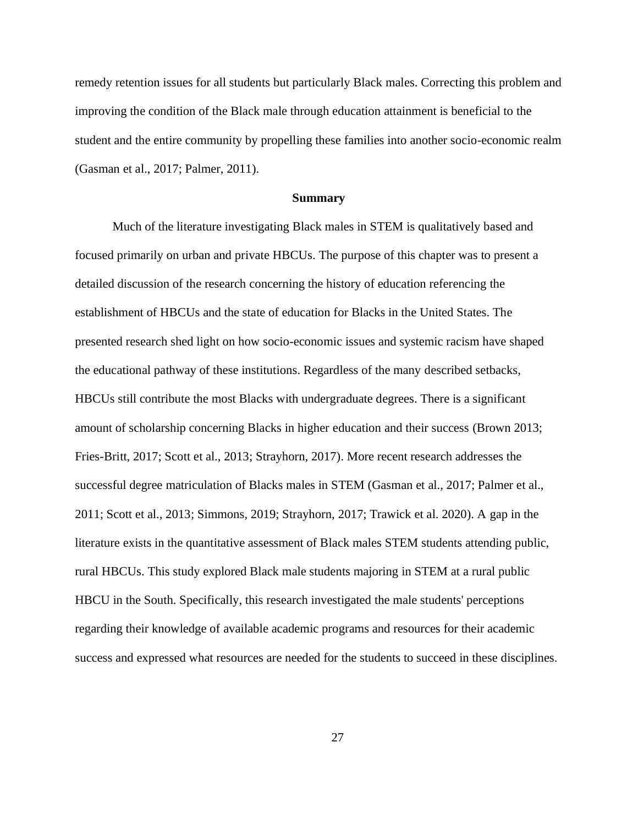remedy retention issues for all students but particularly Black males. Correcting this problem and improving the condition of the Black male through education attainment is beneficial to the student and the entire community by propelling these families into another socio-economic realm (Gasman et al., 2017; Palmer, 2011).

#### **Summary**

<span id="page-28-0"></span>Much of the literature investigating Black males in STEM is qualitatively based and focused primarily on urban and private HBCUs. The purpose of this chapter was to present a detailed discussion of the research concerning the history of education referencing the establishment of HBCUs and the state of education for Blacks in the United States. The presented research shed light on how socio-economic issues and systemic racism have shaped the educational pathway of these institutions. Regardless of the many described setbacks, HBCUs still contribute the most Blacks with undergraduate degrees. There is a significant amount of scholarship concerning Blacks in higher education and their success (Brown 2013; Fries-Britt, 2017; Scott et al., 2013; Strayhorn, 2017). More recent research addresses the successful degree matriculation of Blacks males in STEM (Gasman et al., 2017; Palmer et al., 2011; Scott et al., 2013; Simmons, 2019; Strayhorn, 2017; Trawick et al. 2020). A gap in the literature exists in the quantitative assessment of Black males STEM students attending public, rural HBCUs. This study explored Black male students majoring in STEM at a rural public HBCU in the South. Specifically, this research investigated the male students' perceptions regarding their knowledge of available academic programs and resources for their academic success and expressed what resources are needed for the students to succeed in these disciplines.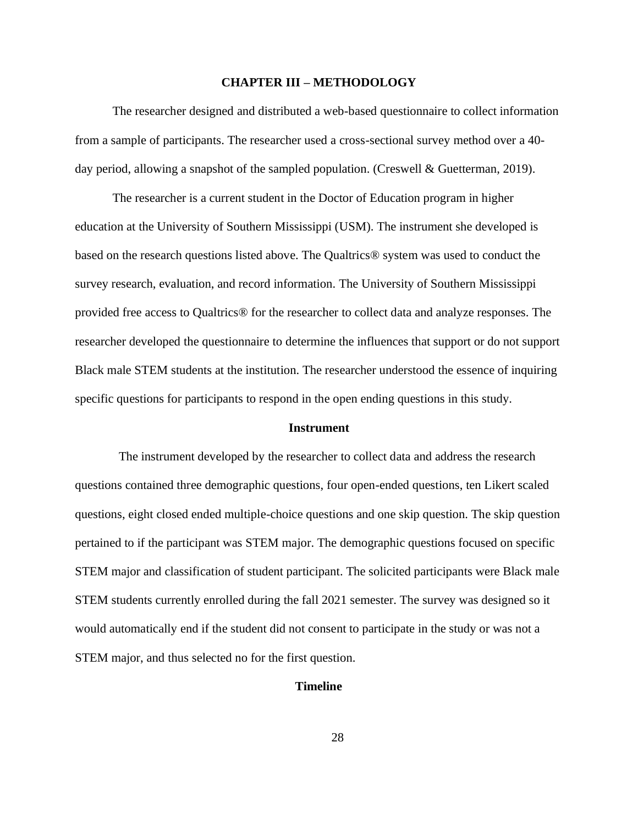#### **CHAPTER III – METHODOLOGY**

<span id="page-29-0"></span>The researcher designed and distributed a web-based questionnaire to collect information from a sample of participants. The researcher used a cross-sectional survey method over a 40 day period, allowing a snapshot of the sampled population. (Creswell & Guetterman, 2019).

The researcher is a current student in the Doctor of Education program in higher education at the University of Southern Mississippi (USM). The instrument she developed is based on the research questions listed above. The Qualtrics® system was used to conduct the survey research, evaluation, and record information. The University of Southern Mississippi provided free access to Qualtrics® for the researcher to collect data and analyze responses. The researcher developed the questionnaire to determine the influences that support or do not support Black male STEM students at the institution. The researcher understood the essence of inquiring specific questions for participants to respond in the open ending questions in this study.

#### <span id="page-29-1"></span>**Instrument**

The instrument developed by the researcher to collect data and address the research questions contained three demographic questions, four open-ended questions, ten Likert scaled questions, eight closed ended multiple-choice questions and one skip question. The skip question pertained to if the participant was STEM major. The demographic questions focused on specific STEM major and classification of student participant. The solicited participants were Black male STEM students currently enrolled during the fall 2021 semester. The survey was designed so it would automatically end if the student did not consent to participate in the study or was not a STEM major, and thus selected no for the first question.

# <span id="page-29-2"></span>**Timeline**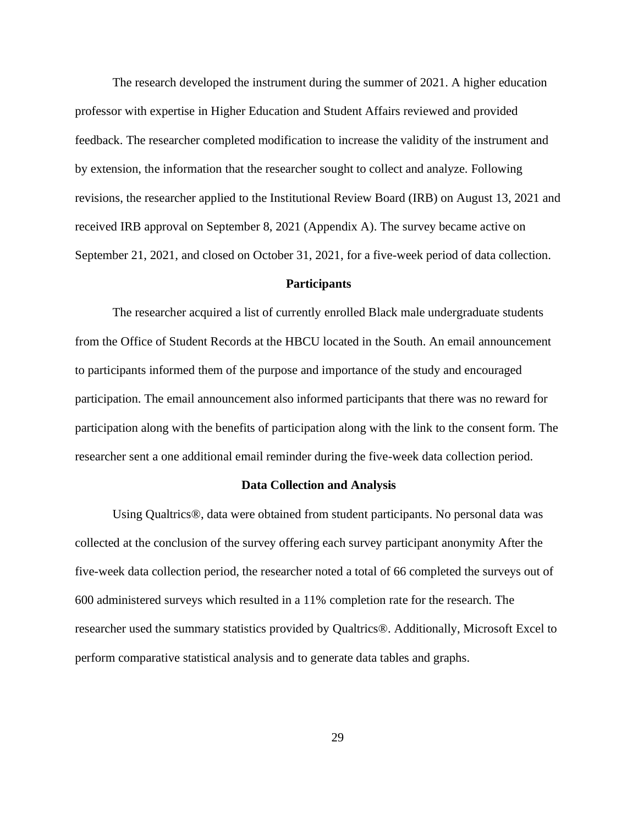The research developed the instrument during the summer of 2021. A higher education professor with expertise in Higher Education and Student Affairs reviewed and provided feedback. The researcher completed modification to increase the validity of the instrument and by extension, the information that the researcher sought to collect and analyze. Following revisions, the researcher applied to the Institutional Review Board (IRB) on August 13, 2021 and received IRB approval on September 8, 2021 (Appendix A). The survey became active on September 21, 2021, and closed on October 31, 2021, for a five-week period of data collection.

#### <span id="page-30-0"></span>**Participants**

The researcher acquired a list of currently enrolled Black male undergraduate students from the Office of Student Records at the HBCU located in the South. An email announcement to participants informed them of the purpose and importance of the study and encouraged participation. The email announcement also informed participants that there was no reward for participation along with the benefits of participation along with the link to the consent form. The researcher sent a one additional email reminder during the five-week data collection period.

#### <span id="page-30-1"></span>**Data Collection and Analysis**

Using Qualtrics®, data were obtained from student participants. No personal data was collected at the conclusion of the survey offering each survey participant anonymity After the five-week data collection period, the researcher noted a total of 66 completed the surveys out of 600 administered surveys which resulted in a 11% completion rate for the research. The researcher used the summary statistics provided by Qualtrics®. Additionally, Microsoft Excel to perform comparative statistical analysis and to generate data tables and graphs.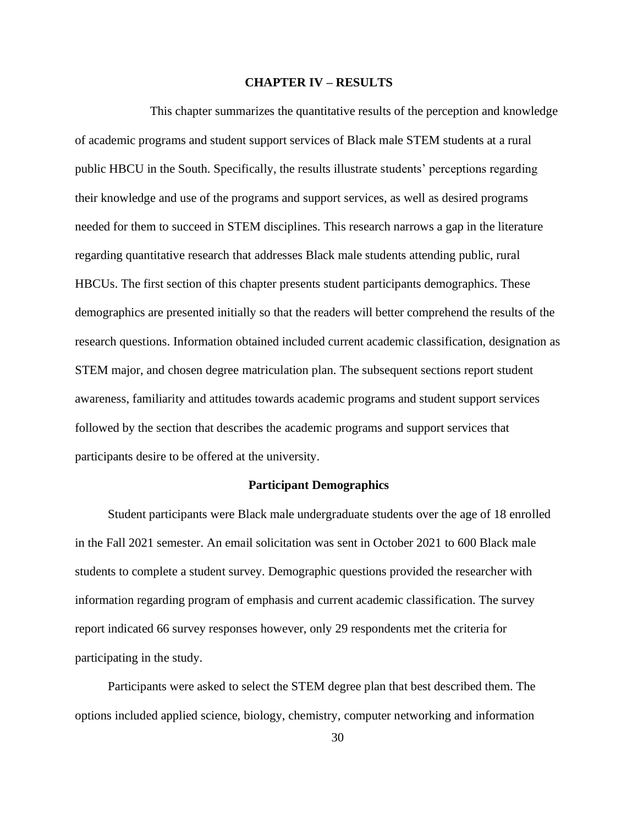#### **CHAPTER IV – RESULTS**

<span id="page-31-0"></span>This chapter summarizes the quantitative results of the perception and knowledge of academic programs and student support services of Black male STEM students at a rural public HBCU in the South. Specifically, the results illustrate students' perceptions regarding their knowledge and use of the programs and support services, as well as desired programs needed for them to succeed in STEM disciplines. This research narrows a gap in the literature regarding quantitative research that addresses Black male students attending public, rural HBCUs. The first section of this chapter presents student participants demographics. These demographics are presented initially so that the readers will better comprehend the results of the research questions. Information obtained included current academic classification, designation as STEM major, and chosen degree matriculation plan. The subsequent sections report student awareness, familiarity and attitudes towards academic programs and student support services followed by the section that describes the academic programs and support services that participants desire to be offered at the university.

# **Participant Demographics**

<span id="page-31-1"></span>Student participants were Black male undergraduate students over the age of 18 enrolled in the Fall 2021 semester. An email solicitation was sent in October 2021 to 600 Black male students to complete a student survey. Demographic questions provided the researcher with information regarding program of emphasis and current academic classification. The survey report indicated 66 survey responses however, only 29 respondents met the criteria for participating in the study.

Participants were asked to select the STEM degree plan that best described them. The options included applied science, biology, chemistry, computer networking and information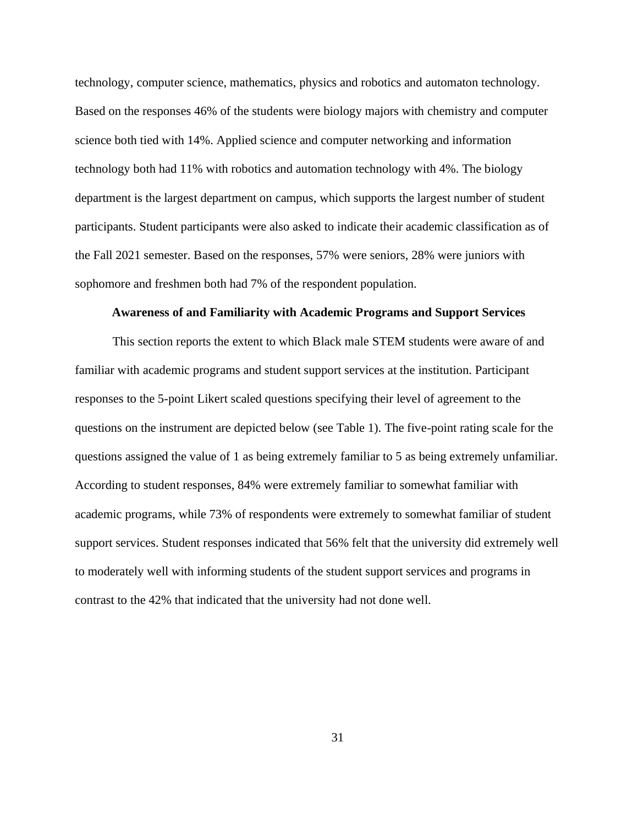technology, computer science, mathematics, physics and robotics and automaton technology. Based on the responses 46% of the students were biology majors with chemistry and computer science both tied with 14%. Applied science and computer networking and information technology both had 11% with robotics and automation technology with 4%. The biology department is the largest department on campus, which supports the largest number of student participants. Student participants were also asked to indicate their academic classification as of the Fall 2021 semester. Based on the responses, 57% were seniors, 28% were juniors with sophomore and freshmen both had 7% of the respondent population.

#### <span id="page-32-0"></span>**Awareness of and Familiarity with Academic Programs and Support Services**

This section reports the extent to which Black male STEM students were aware of and familiar with academic programs and student support services at the institution. Participant responses to the 5-point Likert scaled questions specifying their level of agreement to the questions on the instrument are depicted below (see Table 1). The five-point rating scale for the questions assigned the value of 1 as being extremely familiar to 5 as being extremely unfamiliar. According to student responses, 84% were extremely familiar to somewhat familiar with academic programs, while 73% of respondents were extremely to somewhat familiar of student support services. Student responses indicated that 56% felt that the university did extremely well to moderately well with informing students of the student support services and programs in contrast to the 42% that indicated that the university had not done well.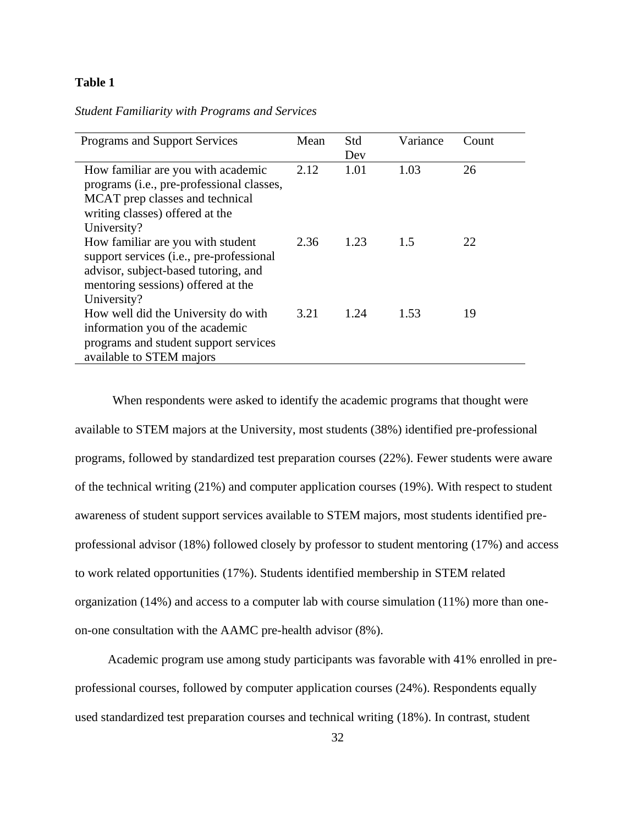# **Table 1**

# *Student Familiarity with Programs and Services*

| <b>Programs and Support Services</b>                                                                                                                                       | Mean | Std<br>Dev | Variance | Count |
|----------------------------------------------------------------------------------------------------------------------------------------------------------------------------|------|------------|----------|-------|
| How familiar are you with academic<br>programs (i.e., pre-professional classes,<br>MCAT prep classes and technical<br>writing classes) offered at the<br>University?       | 2.12 | 1.01       | 1.03     | 26    |
| How familiar are you with student<br>support services (i.e., pre-professional<br>advisor, subject-based tutoring, and<br>mentoring sessions) offered at the<br>University? | 2.36 | 1.23       | 1.5      | 22    |
| How well did the University do with<br>information you of the academic<br>programs and student support services<br>available to STEM majors                                | 3.21 | 1.24       | 1.53     | 19    |

When respondents were asked to identify the academic programs that thought were available to STEM majors at the University, most students (38%) identified pre-professional programs, followed by standardized test preparation courses (22%). Fewer students were aware of the technical writing (21%) and computer application courses (19%). With respect to student awareness of student support services available to STEM majors, most students identified preprofessional advisor (18%) followed closely by professor to student mentoring (17%) and access to work related opportunities (17%). Students identified membership in STEM related organization (14%) and access to a computer lab with course simulation (11%) more than oneon-one consultation with the AAMC pre-health advisor (8%).

Academic program use among study participants was favorable with 41% enrolled in preprofessional courses, followed by computer application courses (24%). Respondents equally used standardized test preparation courses and technical writing (18%). In contrast, student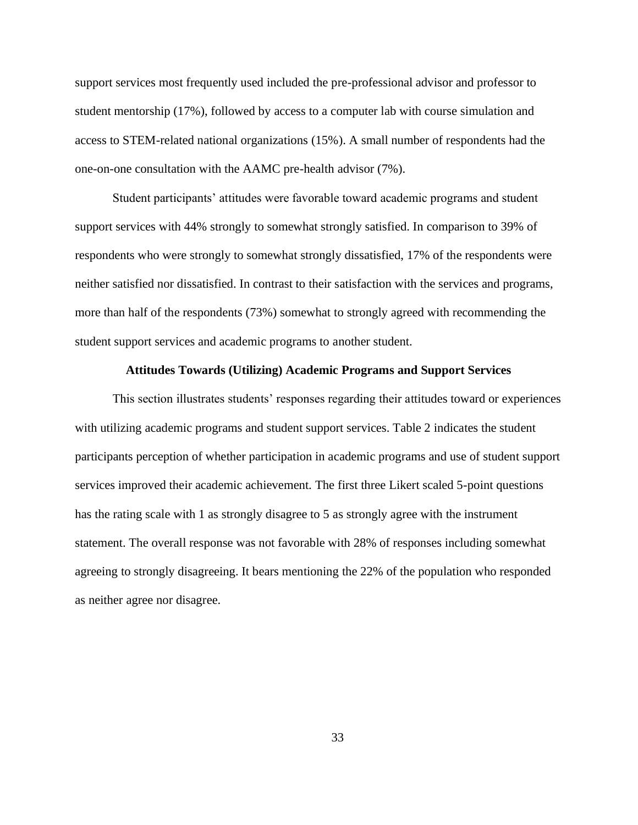support services most frequently used included the pre-professional advisor and professor to student mentorship (17%), followed by access to a computer lab with course simulation and access to STEM-related national organizations (15%). A small number of respondents had the one-on-one consultation with the AAMC pre-health advisor (7%).

Student participants' attitudes were favorable toward academic programs and student support services with 44% strongly to somewhat strongly satisfied. In comparison to 39% of respondents who were strongly to somewhat strongly dissatisfied, 17% of the respondents were neither satisfied nor dissatisfied. In contrast to their satisfaction with the services and programs, more than half of the respondents (73%) somewhat to strongly agreed with recommending the student support services and academic programs to another student.

# <span id="page-34-0"></span>**Attitudes Towards (Utilizing) Academic Programs and Support Services**

This section illustrates students' responses regarding their attitudes toward or experiences with utilizing academic programs and student support services. Table 2 indicates the student participants perception of whether participation in academic programs and use of student support services improved their academic achievement. The first three Likert scaled 5-point questions has the rating scale with 1 as strongly disagree to 5 as strongly agree with the instrument statement. The overall response was not favorable with 28% of responses including somewhat agreeing to strongly disagreeing. It bears mentioning the 22% of the population who responded as neither agree nor disagree.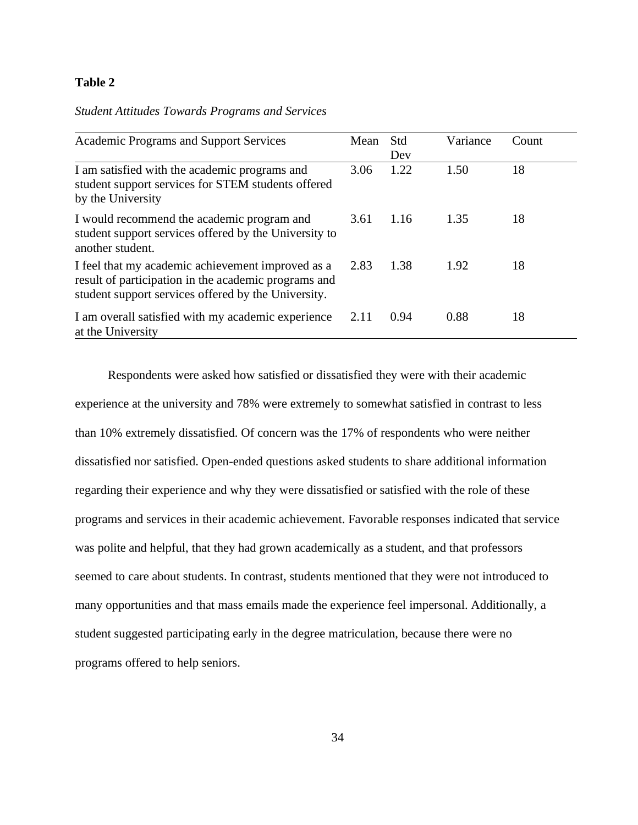# **Table 2**

# *Student Attitudes Towards Programs and Services*

| <b>Academic Programs and Support Services</b>                                                                                                                    | Mean | Std<br>Dev | Variance | Count |
|------------------------------------------------------------------------------------------------------------------------------------------------------------------|------|------------|----------|-------|
| I am satisfied with the academic programs and<br>student support services for STEM students offered<br>by the University                                         | 3.06 | 1.22       | 1.50     | 18    |
| I would recommend the academic program and<br>student support services offered by the University to<br>another student.                                          | 3.61 | 1.16       | 1.35     | 18    |
| I feel that my academic achievement improved as a<br>result of participation in the academic programs and<br>student support services offered by the University. | 2.83 | 1.38       | 1.92     | 18    |
| I am overall satisfied with my academic experience<br>at the University                                                                                          | 2.11 | 0.94       | 0.88     | 18    |

Respondents were asked how satisfied or dissatisfied they were with their academic experience at the university and 78% were extremely to somewhat satisfied in contrast to less than 10% extremely dissatisfied. Of concern was the 17% of respondents who were neither dissatisfied nor satisfied. Open-ended questions asked students to share additional information regarding their experience and why they were dissatisfied or satisfied with the role of these programs and services in their academic achievement. Favorable responses indicated that service was polite and helpful, that they had grown academically as a student, and that professors seemed to care about students. In contrast, students mentioned that they were not introduced to many opportunities and that mass emails made the experience feel impersonal. Additionally, a student suggested participating early in the degree matriculation, because there were no programs offered to help seniors.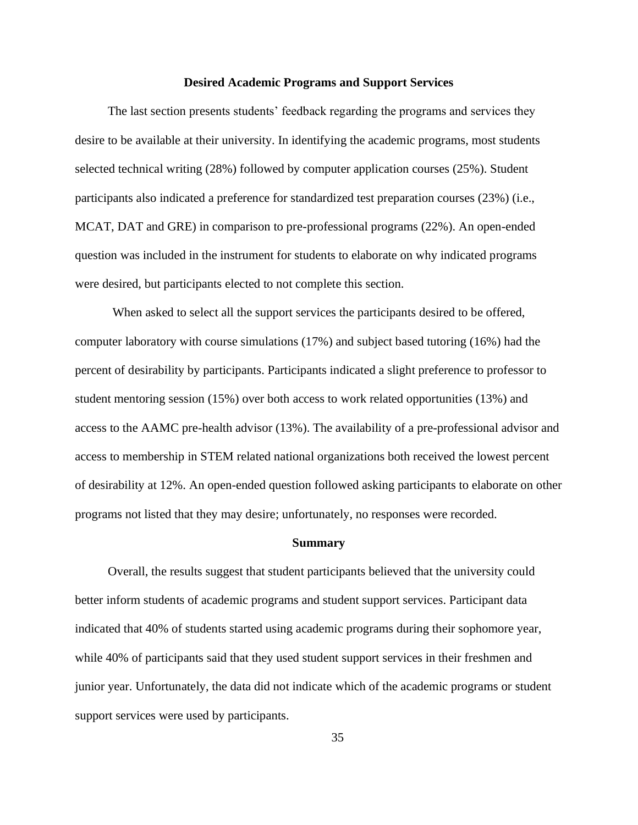#### **Desired Academic Programs and Support Services**

<span id="page-36-0"></span>The last section presents students' feedback regarding the programs and services they desire to be available at their university. In identifying the academic programs, most students selected technical writing (28%) followed by computer application courses (25%). Student participants also indicated a preference for standardized test preparation courses (23%) (i.e., MCAT, DAT and GRE) in comparison to pre-professional programs (22%). An open-ended question was included in the instrument for students to elaborate on why indicated programs were desired, but participants elected to not complete this section.

When asked to select all the support services the participants desired to be offered, computer laboratory with course simulations (17%) and subject based tutoring (16%) had the percent of desirability by participants. Participants indicated a slight preference to professor to student mentoring session (15%) over both access to work related opportunities (13%) and access to the AAMC pre-health advisor (13%). The availability of a pre-professional advisor and access to membership in STEM related national organizations both received the lowest percent of desirability at 12%. An open-ended question followed asking participants to elaborate on other programs not listed that they may desire; unfortunately, no responses were recorded.

#### <span id="page-36-1"></span>**Summary**

Overall, the results suggest that student participants believed that the university could better inform students of academic programs and student support services. Participant data indicated that 40% of students started using academic programs during their sophomore year, while 40% of participants said that they used student support services in their freshmen and junior year. Unfortunately, the data did not indicate which of the academic programs or student support services were used by participants.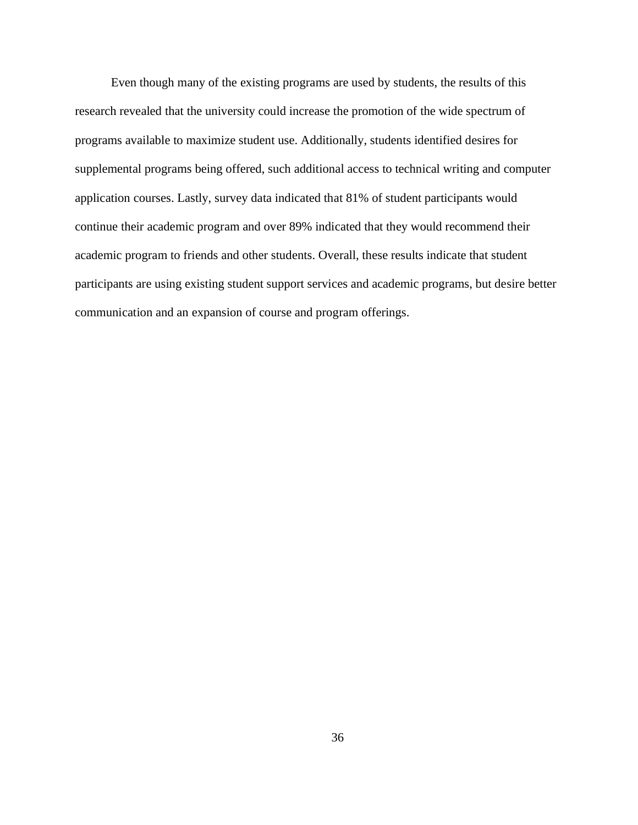Even though many of the existing programs are used by students, the results of this research revealed that the university could increase the promotion of the wide spectrum of programs available to maximize student use. Additionally, students identified desires for supplemental programs being offered, such additional access to technical writing and computer application courses. Lastly, survey data indicated that 81% of student participants would continue their academic program and over 89% indicated that they would recommend their academic program to friends and other students. Overall, these results indicate that student participants are using existing student support services and academic programs, but desire better communication and an expansion of course and program offerings.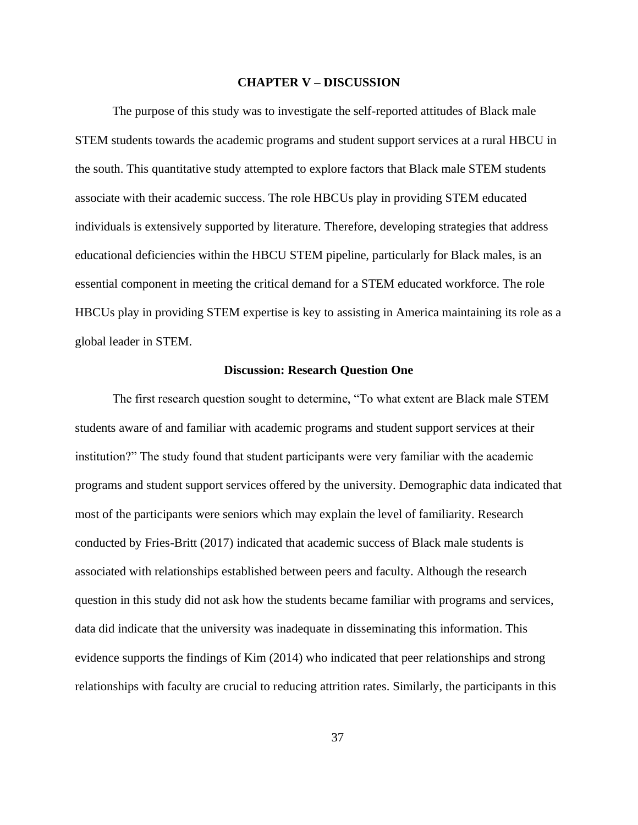#### **CHAPTER V – DISCUSSION**

<span id="page-38-0"></span> The purpose of this study was to investigate the self-reported attitudes of Black male STEM students towards the academic programs and student support services at a rural HBCU in the south. This quantitative study attempted to explore factors that Black male STEM students associate with their academic success. The role HBCUs play in providing STEM educated individuals is extensively supported by literature. Therefore, developing strategies that address educational deficiencies within the HBCU STEM pipeline, particularly for Black males, is an essential component in meeting the critical demand for a STEM educated workforce. The role HBCUs play in providing STEM expertise is key to assisting in America maintaining its role as a global leader in STEM.

#### **Discussion: Research Question One**

<span id="page-38-1"></span>The first research question sought to determine, "To what extent are Black male STEM students aware of and familiar with academic programs and student support services at their institution?" The study found that student participants were very familiar with the academic programs and student support services offered by the university. Demographic data indicated that most of the participants were seniors which may explain the level of familiarity. Research conducted by Fries-Britt (2017) indicated that academic success of Black male students is associated with relationships established between peers and faculty. Although the research question in this study did not ask how the students became familiar with programs and services, data did indicate that the university was inadequate in disseminating this information. This evidence supports the findings of Kim (2014) who indicated that peer relationships and strong relationships with faculty are crucial to reducing attrition rates. Similarly, the participants in this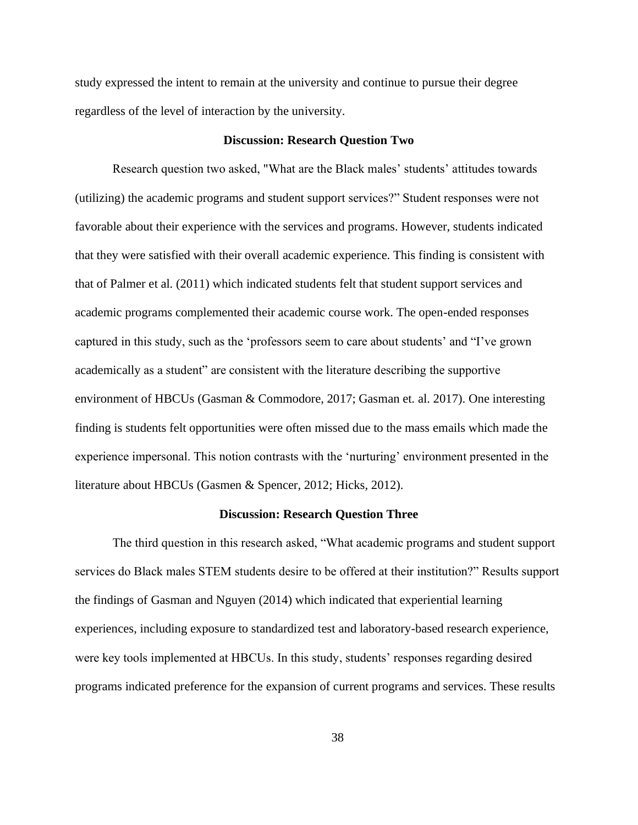study expressed the intent to remain at the university and continue to pursue their degree regardless of the level of interaction by the university.

#### **Discussion: Research Question Two**

<span id="page-39-0"></span>Research question two asked, "What are the Black males' students' attitudes towards (utilizing) the academic programs and student support services?" Student responses were not favorable about their experience with the services and programs. However, students indicated that they were satisfied with their overall academic experience. This finding is consistent with that of Palmer et al. (2011) which indicated students felt that student support services and academic programs complemented their academic course work. The open-ended responses captured in this study, such as the 'professors seem to care about students' and "I've grown academically as a student" are consistent with the literature describing the supportive environment of HBCUs (Gasman & Commodore, 2017; Gasman et. al. 2017). One interesting finding is students felt opportunities were often missed due to the mass emails which made the experience impersonal. This notion contrasts with the 'nurturing' environment presented in the literature about HBCUs (Gasmen & Spencer, 2012; Hicks, 2012).

#### **Discussion: Research Question Three**

<span id="page-39-1"></span>The third question in this research asked, "What academic programs and student support services do Black males STEM students desire to be offered at their institution?" Results support the findings of Gasman and Nguyen (2014) which indicated that experiential learning experiences, including exposure to standardized test and laboratory-based research experience, were key tools implemented at HBCUs. In this study, students' responses regarding desired programs indicated preference for the expansion of current programs and services. These results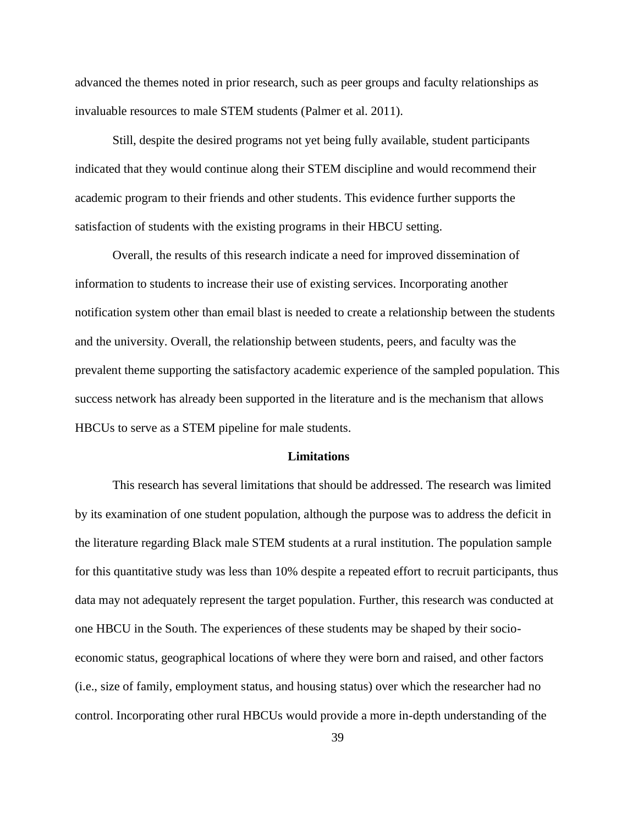advanced the themes noted in prior research, such as peer groups and faculty relationships as invaluable resources to male STEM students (Palmer et al. 2011).

Still, despite the desired programs not yet being fully available, student participants indicated that they would continue along their STEM discipline and would recommend their academic program to their friends and other students. This evidence further supports the satisfaction of students with the existing programs in their HBCU setting.

Overall, the results of this research indicate a need for improved dissemination of information to students to increase their use of existing services. Incorporating another notification system other than email blast is needed to create a relationship between the students and the university. Overall, the relationship between students, peers, and faculty was the prevalent theme supporting the satisfactory academic experience of the sampled population. This success network has already been supported in the literature and is the mechanism that allows HBCUs to serve as a STEM pipeline for male students.

#### **Limitations**

<span id="page-40-0"></span>This research has several limitations that should be addressed. The research was limited by its examination of one student population, although the purpose was to address the deficit in the literature regarding Black male STEM students at a rural institution. The population sample for this quantitative study was less than 10% despite a repeated effort to recruit participants, thus data may not adequately represent the target population. Further, this research was conducted at one HBCU in the South. The experiences of these students may be shaped by their socioeconomic status, geographical locations of where they were born and raised, and other factors (i.e., size of family, employment status, and housing status) over which the researcher had no control. Incorporating other rural HBCUs would provide a more in-depth understanding of the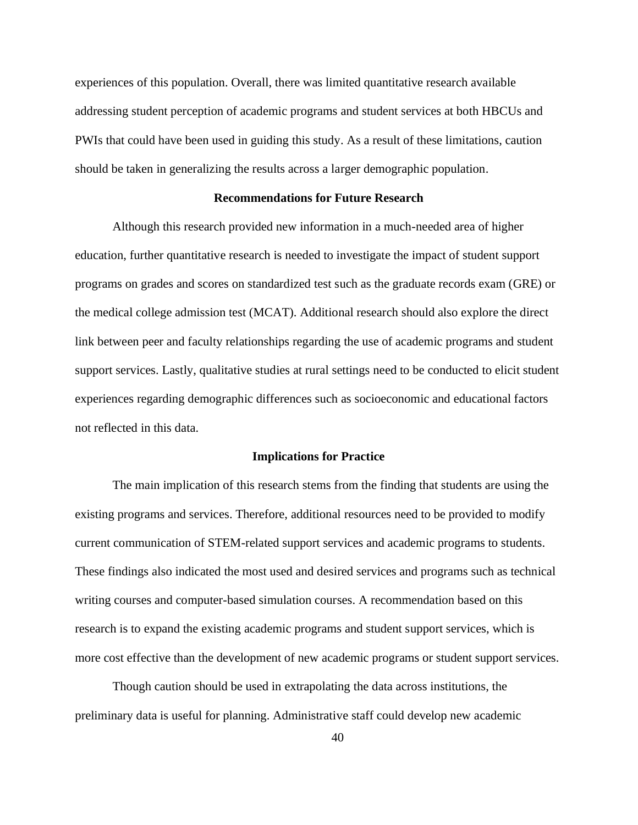experiences of this population. Overall, there was limited quantitative research available addressing student perception of academic programs and student services at both HBCUs and PWIs that could have been used in guiding this study. As a result of these limitations, caution should be taken in generalizing the results across a larger demographic population.

# **Recommendations for Future Research**

<span id="page-41-0"></span>Although this research provided new information in a much-needed area of higher education, further quantitative research is needed to investigate the impact of student support programs on grades and scores on standardized test such as the graduate records exam (GRE) or the medical college admission test (MCAT). Additional research should also explore the direct link between peer and faculty relationships regarding the use of academic programs and student support services. Lastly, qualitative studies at rural settings need to be conducted to elicit student experiences regarding demographic differences such as socioeconomic and educational factors not reflected in this data.

#### **Implications for Practice**

<span id="page-41-1"></span>The main implication of this research stems from the finding that students are using the existing programs and services. Therefore, additional resources need to be provided to modify current communication of STEM-related support services and academic programs to students. These findings also indicated the most used and desired services and programs such as technical writing courses and computer-based simulation courses. A recommendation based on this research is to expand the existing academic programs and student support services, which is more cost effective than the development of new academic programs or student support services.

Though caution should be used in extrapolating the data across institutions, the preliminary data is useful for planning. Administrative staff could develop new academic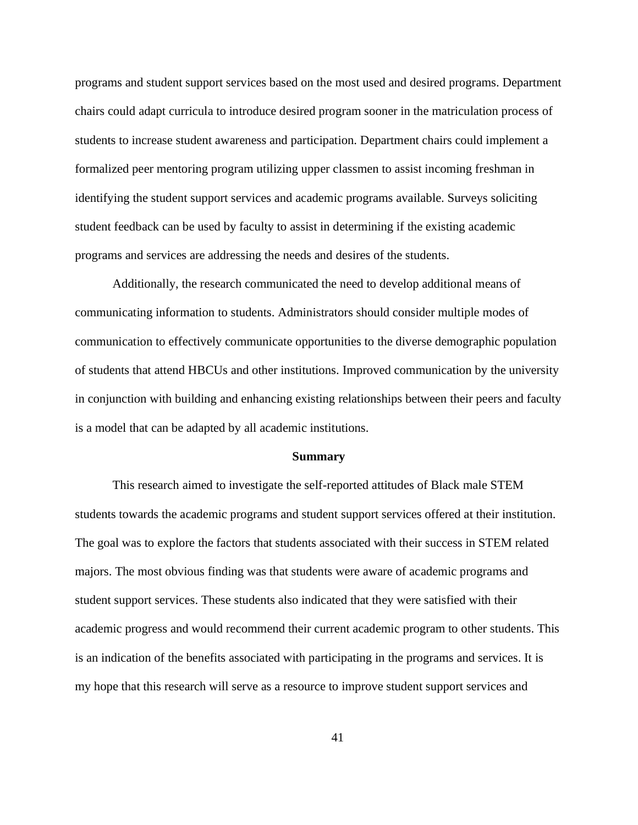programs and student support services based on the most used and desired programs. Department chairs could adapt curricula to introduce desired program sooner in the matriculation process of students to increase student awareness and participation. Department chairs could implement a formalized peer mentoring program utilizing upper classmen to assist incoming freshman in identifying the student support services and academic programs available. Surveys soliciting student feedback can be used by faculty to assist in determining if the existing academic programs and services are addressing the needs and desires of the students.

Additionally, the research communicated the need to develop additional means of communicating information to students. Administrators should consider multiple modes of communication to effectively communicate opportunities to the diverse demographic population of students that attend HBCUs and other institutions. Improved communication by the university in conjunction with building and enhancing existing relationships between their peers and faculty is a model that can be adapted by all academic institutions.

#### **Summary**

<span id="page-42-0"></span>This research aimed to investigate the self-reported attitudes of Black male STEM students towards the academic programs and student support services offered at their institution. The goal was to explore the factors that students associated with their success in STEM related majors. The most obvious finding was that students were aware of academic programs and student support services. These students also indicated that they were satisfied with their academic progress and would recommend their current academic program to other students. This is an indication of the benefits associated with participating in the programs and services. It is my hope that this research will serve as a resource to improve student support services and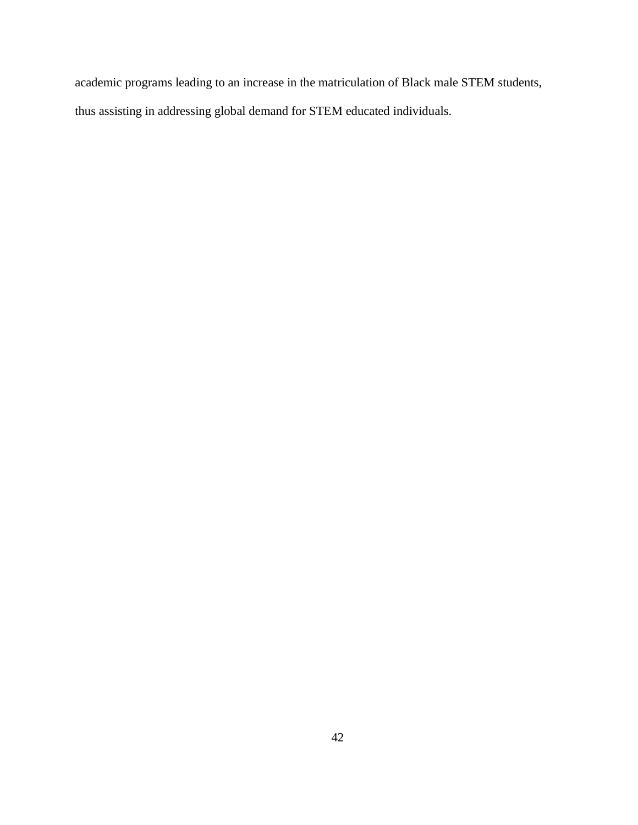academic programs leading to an increase in the matriculation of Black male STEM students, thus assisting in addressing global demand for STEM educated individuals.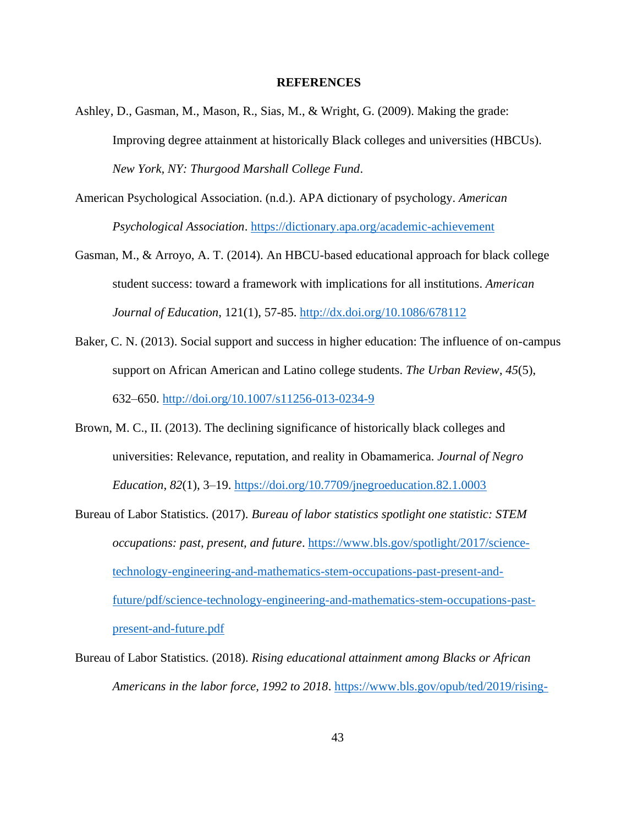### **REFERENCES**

- <span id="page-44-0"></span>Ashley, D., Gasman, M., Mason, R., Sias, M., & Wright, G. (2009). Making the grade: Improving degree attainment at historically Black colleges and universities (HBCUs). *New York, NY: Thurgood Marshall College Fund*.
- American Psychological Association. (n.d.). APA dictionary of psychology. *American Psychological Association*.<https://dictionary.apa.org/academic-achievement>
- Gasman, M., & Arroyo, A. T. (2014). An HBCU-based educational approach for black college student success: toward a framework with implications for all institutions. *American Journal of Education*, 121(1), 57-85.<http://dx.doi.org/10.1086/678112>
- Baker, C. N. (2013). Social support and success in higher education: The influence of on-campus support on African American and Latino college students. *The Urban Review*, *45*(5), 632–650.<http://doi.org/10.1007/s11256-013-0234-9>
- Brown, M. C., II. (2013). The declining significance of historically black colleges and universities: Relevance, reputation, and reality in Obamamerica. *Journal of Negro Education*, *82*(1), 3–19. <https://doi.org/10.7709/jnegroeducation.82.1.0003>
- Bureau of Labor Statistics. (2017). *Bureau of labor statistics spotlight one statistic: STEM occupations: past, present, and future*. [https://www.bls.gov/spotlight/2017/science](https://www.bls.gov/spotlight/2017/science-technology-engineering-and-mathematics-stem-occupations-past-present-and-future/pdf/science-technology-engineering-and-mathematics-stem-occupations-past-present-and-future.pdf)[technology-engineering-and-mathematics-stem-occupations-past-present-and](https://www.bls.gov/spotlight/2017/science-technology-engineering-and-mathematics-stem-occupations-past-present-and-future/pdf/science-technology-engineering-and-mathematics-stem-occupations-past-present-and-future.pdf)[future/pdf/science-technology-engineering-and-mathematics-stem-occupations-past](https://www.bls.gov/spotlight/2017/science-technology-engineering-and-mathematics-stem-occupations-past-present-and-future/pdf/science-technology-engineering-and-mathematics-stem-occupations-past-present-and-future.pdf)[present-and-future.pdf](https://www.bls.gov/spotlight/2017/science-technology-engineering-and-mathematics-stem-occupations-past-present-and-future/pdf/science-technology-engineering-and-mathematics-stem-occupations-past-present-and-future.pdf)
- Bureau of Labor Statistics. (2018). *Rising educational attainment among Blacks or African Americans in the labor force, 1992 to 2018*. [https://www.bls.gov/opub/ted/2019/rising-](https://www.bls.gov/opub/ted/2019/rising-educational-attainment-among-blacks-or-african-americans-in-the-labor-force-1992-to-2018.htm)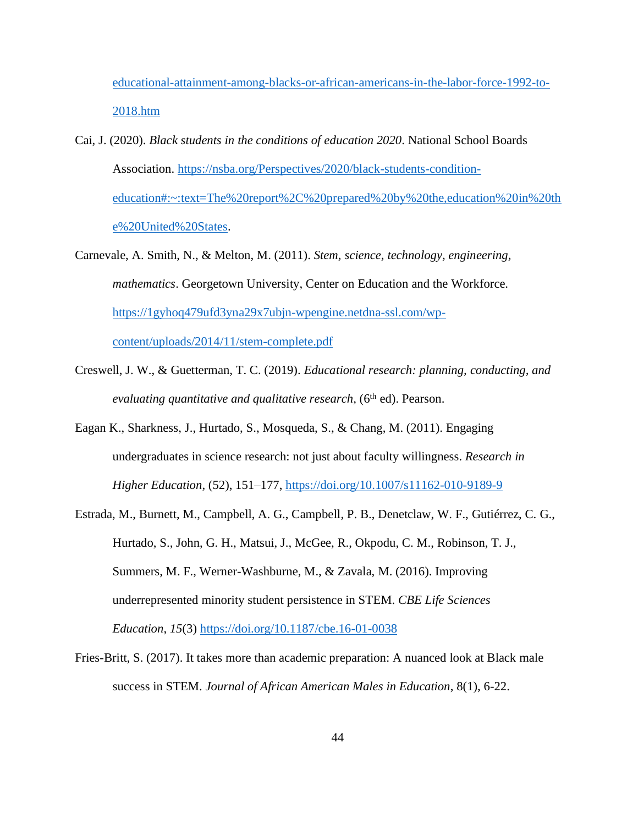[educational-attainment-among-blacks-or-african-americans-in-the-labor-force-1992-to-](https://www.bls.gov/opub/ted/2019/rising-educational-attainment-among-blacks-or-african-americans-in-the-labor-force-1992-to-2018.htm)[2018.htm](https://www.bls.gov/opub/ted/2019/rising-educational-attainment-among-blacks-or-african-americans-in-the-labor-force-1992-to-2018.htm)

- Cai, J. (2020). *Black students in the conditions of education 2020*. National School Boards Association. [https://nsba.org/Perspectives/2020/black-students-condition](https://nsba.org/Perspectives/2020/black-students-condition-education#:~:text=The%20report%2C%20prepared%20by%20the,education%20in%20the%20United%20States)[education#:~:text=The%20report%2C%20prepared%20by%20the,education%20in%20th](https://nsba.org/Perspectives/2020/black-students-condition-education#:~:text=The%20report%2C%20prepared%20by%20the,education%20in%20the%20United%20States) [e%20United%20States.](https://nsba.org/Perspectives/2020/black-students-condition-education#:~:text=The%20report%2C%20prepared%20by%20the,education%20in%20the%20United%20States)
- Carnevale, A. Smith, N., & Melton, M. (2011). *Stem, science, technology, engineering, mathematics*. Georgetown University, Center on Education and the Workforce. [https://1gyhoq479ufd3yna29x7ubjn-wpengine.netdna-ssl.com/wp](https://1gyhoq479ufd3yna29x7ubjn-wpengine.netdna-ssl.com/wp-content/uploads/2014/11/stem-complete.pdf)[content/uploads/2014/11/stem-complete.pdf](https://1gyhoq479ufd3yna29x7ubjn-wpengine.netdna-ssl.com/wp-content/uploads/2014/11/stem-complete.pdf)
- Creswell, J. W., & Guetterman, T. C. (2019). *Educational research: planning, conducting, and evaluating quantitative and qualitative research,* (6<sup>th</sup> ed). Pearson.
- Eagan K., Sharkness, J., Hurtado, S., Mosqueda, S., & Chang, M. (2011). Engaging undergraduates in science research: not just about faculty willingness. *Research in Higher Education,* (52), 151–177, <https://doi.org/10.1007/s11162-010-9189-9>
- Estrada, M., Burnett, M., Campbell, A. G., Campbell, P. B., Denetclaw, W. F., Gutiérrez, C. G., Hurtado, S., John, G. H., Matsui, J., McGee, R., Okpodu, C. M., Robinson, T. J., Summers, M. F., Werner-Washburne, M., & Zavala, M. (2016). Improving underrepresented minority student persistence in STEM. *CBE Life Sciences Education*, *15*(3)<https://doi.org/10.1187/cbe.16-01-0038>
- Fries-Britt, S. (2017). It takes more than academic preparation: A nuanced look at Black male success in STEM. *Journal of African American Males in Education*, 8(1), 6-22.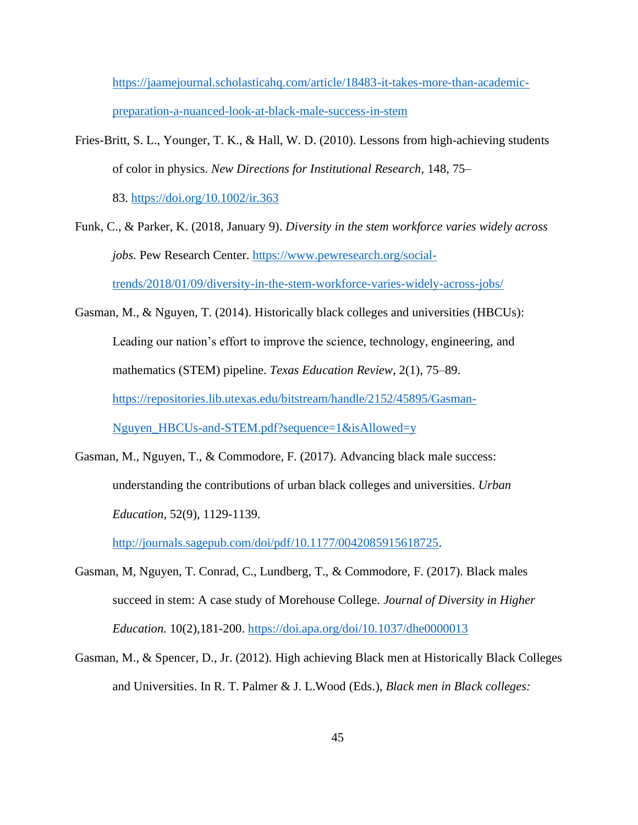[https://jaamejournal.scholasticahq.com/article/18483-it-takes-more-than-academic](https://jaamejournal.scholasticahq.com/article/18483-it-takes-more-than-academic-preparation-a-nuanced-look-at-black-male-success-in-stem)[preparation-a-nuanced-look-at-black-male-success-in-stem](https://jaamejournal.scholasticahq.com/article/18483-it-takes-more-than-academic-preparation-a-nuanced-look-at-black-male-success-in-stem)

Fries-Britt, S. L., Younger, T. K., & Hall, W. D. (2010). Lessons from high-achieving students of color in physics. *New Directions for Institutional Research,* 148, 75–

83. <https://doi.org/10.1002/ir.363>

- Funk, C., & Parker, K. (2018, January 9). *Diversity in the stem workforce varies widely across jobs.* Pew Research Center. [https://www.pewresearch.org/social](https://www.pewresearch.org/social-trends/2018/01/09/diversity-in-the-stem-workforce-varies-widely-across-jobs/)[trends/2018/01/09/diversity-in-the-stem-workforce-varies-widely-across-jobs/](https://www.pewresearch.org/social-trends/2018/01/09/diversity-in-the-stem-workforce-varies-widely-across-jobs/)
- Gasman, M., & Nguyen, T. (2014). Historically black colleges and universities (HBCUs): Leading our nation's effort to improve the science, technology, engineering, and mathematics (STEM) pipeline. *Texas Education Review*, 2(1), 75–89. [https://repositories.lib.utexas.edu/bitstream/handle/2152/45895/Gasman-](https://repositories.lib.utexas.edu/bitstream/handle/2152/45895/Gasman-Nguyen_HBCUs-and-STEM.pdf?sequence=1&isAllowed=y)[Nguyen\\_HBCUs-and-STEM.pdf?sequence=1&isAllowed=y](https://repositories.lib.utexas.edu/bitstream/handle/2152/45895/Gasman-Nguyen_HBCUs-and-STEM.pdf?sequence=1&isAllowed=y)
- Gasman, M., Nguyen, T., & Commodore, F. (2017). Advancing black male success: understanding the contributions of urban black colleges and universities. *Urban Education,* 52(9), 1129-1139.

[http://journals.sagepub.com/doi/pdf/10.1177/0042085915618725.](http://journals.sagepub.com/doi/pdf/10.1177/0042085915618725)

- Gasman, M, Nguyen, T. Conrad, C., Lundberg, T., & Commodore, F. (2017). Black males succeed in stem: A case study of Morehouse College*. Journal of Diversity in Higher Education.* 10(2),181-200.<https://doi.apa.org/doi/10.1037/dhe0000013>
- Gasman, M., & Spencer, D., Jr. (2012). High achieving Black men at Historically Black Colleges and Universities. In R. T. Palmer & J. L.Wood (Eds.), *Black men in Black colleges:*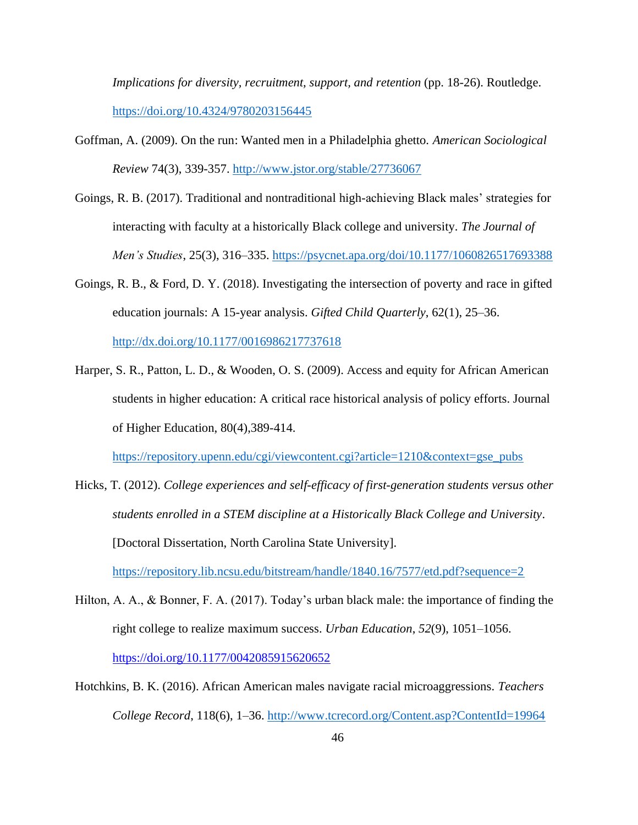*Implications for diversity, recruitment, support, and retention* (pp. 18-26). Routledge. <https://doi.org/10.4324/9780203156445>

- Goffman, A. (2009). On the run: Wanted men in a Philadelphia ghetto. *American Sociological Review* 74(3), 339-357. <http://www.jstor.org/stable/27736067>
- Goings, R. B. (2017). Traditional and nontraditional high-achieving Black males' strategies for interacting with faculty at a historically Black college and university. *The Journal of Men's Studies*, 25(3), 316–335. <https://psycnet.apa.org/doi/10.1177/1060826517693388>
- Goings, R. B., & Ford, D. Y. (2018). Investigating the intersection of poverty and race in gifted education journals: A 15-year analysis. *Gifted Child Quarterly*, 62(1), 25–36. <http://dx.doi.org/10.1177/0016986217737618>

Harper, S. R., Patton, L. D., & Wooden, O. S. (2009). Access and equity for African American students in higher education: A critical race historical analysis of policy efforts. Journal

of Higher Education, 80(4),389-414.

[https://repository.upenn.edu/cgi/viewcontent.cgi?article=1210&context=gse\\_pubs](https://repository.upenn.edu/cgi/viewcontent.cgi?article=1210&context=gse_pubs)

Hicks, T. (2012). *College experiences and self-efficacy of first-generation students versus other students enrolled in a STEM discipline at a Historically Black College and University*. [Doctoral Dissertation, North Carolina State University].

[https://repository.lib.ncsu.edu/bitstream/handle/1840.16/7577/etd.pdf?sequence=2](https://repository.lib.ncsu.edu/bitstream/handle/1840.16/7577/etd.pdf?sequence=see%20the%20above%20comment%20for%20citing%20dissertations%0d2)

- Hilton, A. A., & Bonner, F. A. (2017). Today's urban black male: the importance of finding the right college to realize maximum success. *Urban Education*, *52*(9), 1051–1056. <https://doi.org/10.1177/0042085915620652>
- Hotchkins, B. K. (2016). African American males navigate racial microaggressions. *Teachers College Record*, 118(6), 1–36. <http://www.tcrecord.org/Content.asp?ContentId=19964>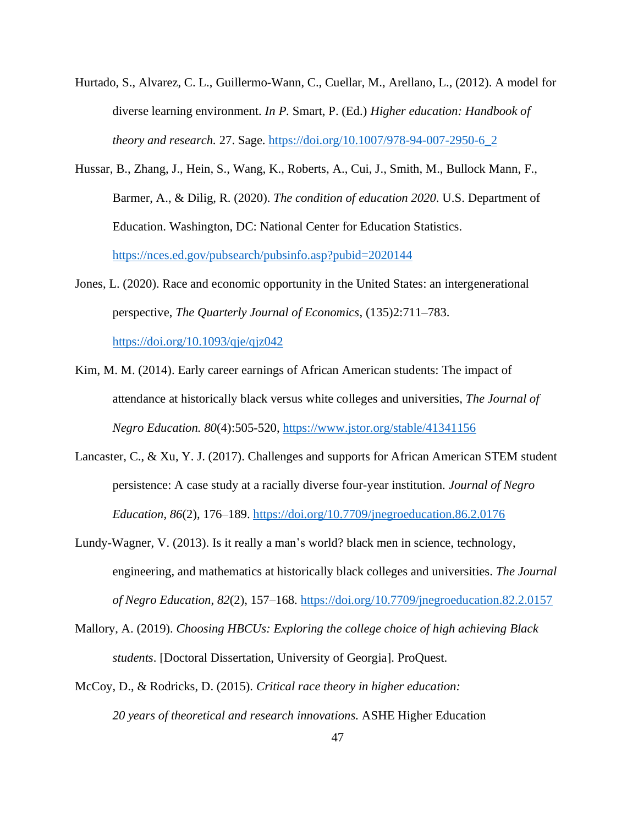- Hurtado, S., Alvarez, C. L., Guillermo-Wann, C., Cuellar, M., Arellano, L., (2012). A model for diverse learning environment. *In P.* Smart, P. (Ed.) *Higher education: Handbook of theory and research.* 27. Sage. [https://doi.org/10.1007/978-94-007-2950-6\\_2](https://doi.org/10.1007/978-94-007-2950-6_2)
- Hussar, B., Zhang, J., Hein, S., Wang, K., Roberts, A., Cui, J., Smith, M., Bullock Mann, F., Barmer, A., & Dilig, R. (2020). *The condition of education 2020*. U.S. Department of Education. Washington, DC: National Center for Education Statistics. <https://nces.ed.gov/pubsearch/pubsinfo.asp?pubid=2020144>
- Jones, L. (2020). Race and economic opportunity in the United States: an intergenerational perspective, *The Quarterly Journal of Economics*, (135)2:711–783.

<https://doi.org/10.1093/qje/qjz042>

- Kim, M. M. (2014). Early career earnings of African American students: The impact of attendance at historically black versus white colleges and universities, *The Journal of Negro Education. 80*(4):505-520,<https://www.jstor.org/stable/41341156>
- Lancaster, C., & Xu, Y. J. (2017). Challenges and supports for African American STEM student persistence: A case study at a racially diverse four-year institution. *Journal of Negro Education*, *86*(2), 176–189.<https://doi.org/10.7709/jnegroeducation.86.2.0176>
- Lundy-Wagner, V. (2013). Is it really a man's world? black men in science, technology, engineering, and mathematics at historically black colleges and universities. *The Journal of Negro Education*, *82*(2), 157–168.<https://doi.org/10.7709/jnegroeducation.82.2.0157>
- Mallory, A. (2019). *Choosing HBCUs: Exploring the college choice of high achieving Black students*. [Doctoral Dissertation, University of Georgia]. ProQuest.
- McCoy, D., & Rodricks, D. (2015). *Critical race theory in higher education: 20 years of theoretical and research innovations.* ASHE Higher Education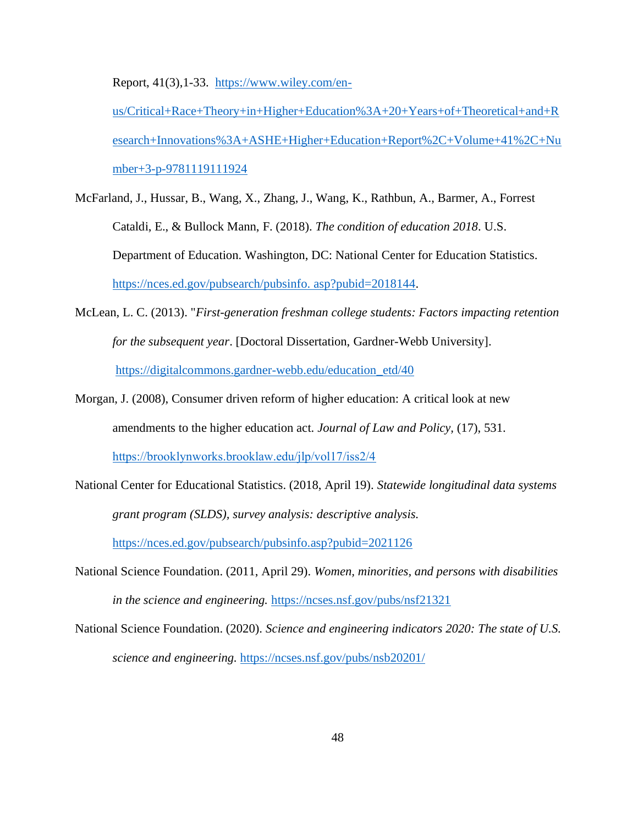Report, 41(3), 1-33. [https://www.wiley.com/en-](https://www.wiley.com/en-us/Critical+Race+Theory+in+Higher+Education%3A+20+Years+of+Theoretical+and+Research+Innovations%3A+ASHE+Higher+Education+Report%2C+Volume+41%2C+Number+3-p-9781119111924)

[us/Critical+Race+Theory+in+Higher+Education%3A+20+Years+of+Theoretical+and+R](https://www.wiley.com/en-us/Critical+Race+Theory+in+Higher+Education%3A+20+Years+of+Theoretical+and+Research+Innovations%3A+ASHE+Higher+Education+Report%2C+Volume+41%2C+Number+3-p-9781119111924) [esearch+Innovations%3A+ASHE+Higher+Education+Report%2C+Volume+41%2C+Nu](https://www.wiley.com/en-us/Critical+Race+Theory+in+Higher+Education%3A+20+Years+of+Theoretical+and+Research+Innovations%3A+ASHE+Higher+Education+Report%2C+Volume+41%2C+Number+3-p-9781119111924) [mber+3-p-9781119111924](https://www.wiley.com/en-us/Critical+Race+Theory+in+Higher+Education%3A+20+Years+of+Theoretical+and+Research+Innovations%3A+ASHE+Higher+Education+Report%2C+Volume+41%2C+Number+3-p-9781119111924)

- McFarland, J., Hussar, B., Wang, X., Zhang, J., Wang, K., Rathbun, A., Barmer, A., Forrest Cataldi, E., & Bullock Mann, F. (2018). *The condition of education 2018*. U.S. Department of Education. Washington, DC: National Center for Education Statistics. [https://nces.ed.gov/pubsearch/pubsinfo. asp?pubid=2018144.](https://nces.ed.gov/pubsearch/pubsinfo.%20asp?pubid=2018144)
- McLean, L. C. (2013). "*First-generation freshman college students: Factors impacting retention for the subsequent year*. [Doctoral Dissertation, Gardner-Webb University]. [https://digitalcommons.gardner-webb.edu/education\\_etd/40](https://digitalcommons.gardner-webb.edu/education_etd/40)
- Morgan, J. (2008), Consumer driven reform of higher education: A critical look at new amendments to the higher education act. *Journal of Law and Policy,* (17), 531. <https://brooklynworks.brooklaw.edu/jlp/vol17/iss2/4>
- National Center for Educational Statistics. (2018, April 19). *Statewide longitudinal data systems grant program (SLDS), survey analysis: descriptive analysis.*  <https://nces.ed.gov/pubsearch/pubsinfo.asp?pubid=2021126>
- National Science Foundation. (2011, April 29). *Women, minorities, and persons with disabilities in the science and engineering.* <https://ncses.nsf.gov/pubs/nsf21321>
- National Science Foundation. (2020). *Science and engineering indicators 2020: The state of U.S. science and engineering.* <https://ncses.nsf.gov/pubs/nsb20201/>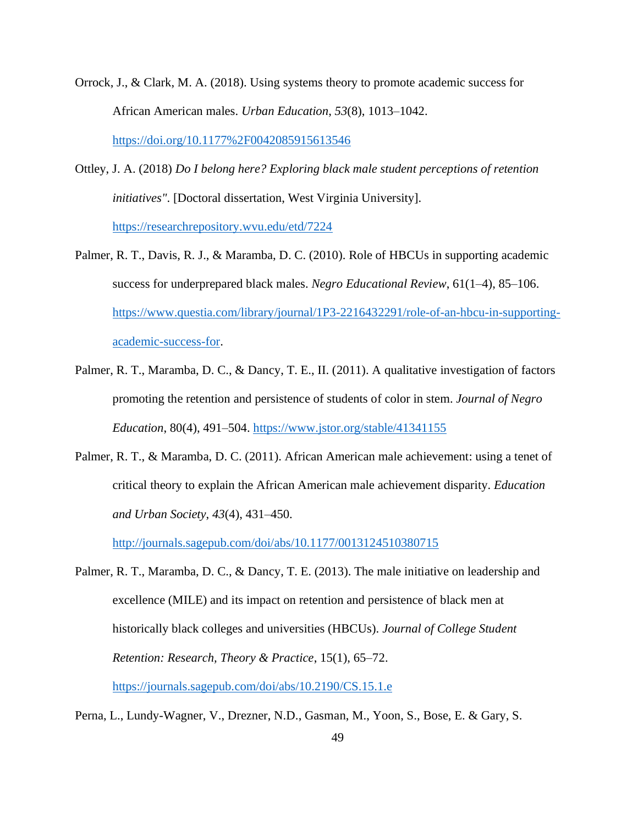- Orrock, J., & Clark, M. A. (2018). Using systems theory to promote academic success for African American males. *Urban Education*, *53*(8), 1013–1042. <https://doi.org/10.1177%2F0042085915613546>
- Ottley, J. A. (2018) *Do I belong here? Exploring black male student perceptions of retention initiatives"*. [Doctoral dissertation, West Virginia University]. <https://researchrepository.wvu.edu/etd/7224>
- Palmer, R. T., Davis, R. J., & Maramba, D. C. (2010). Role of HBCUs in supporting academic success for underprepared black males. *Negro Educational Review*, 61(1–4), 85–106. [https://www.questia.com/library/journal/1P3-2216432291/role-of-an-hbcu-in-supporting](https://www.questia.com/library/journal/1P3-2216432291/role-of-an-hbcu-in-supporting-academic-success-for)[academic-success-for.](https://www.questia.com/library/journal/1P3-2216432291/role-of-an-hbcu-in-supporting-academic-success-for)
- Palmer, R. T., Maramba, D. C., & Dancy, T. E., II. (2011). A qualitative investigation of factors promoting the retention and persistence of students of color in stem. *Journal of Negro Education*, 80(4), 491–504. <https://www.jstor.org/stable/41341155>
- Palmer, R. T., & Maramba, D. C. (2011). African American male achievement: using a tenet of critical theory to explain the African American male achievement disparity. *Education and Urban Society*, *43*(4), 431–450.

<http://journals.sagepub.com/doi/abs/10.1177/0013124510380715>

- Palmer, R. T., Maramba, D. C., & Dancy, T. E. (2013). The male initiative on leadership and excellence (MILE) and its impact on retention and persistence of black men at historically black colleges and universities (HBCUs). *Journal of College Student Retention: Research, Theory & Practice*, 15(1), 65–72. <https://journals.sagepub.com/doi/abs/10.2190/CS.15.1.e>
- Perna, L., Lundy-Wagner, V., Drezner, N.D., Gasman, M., Yoon, S., Bose, E. & Gary, S.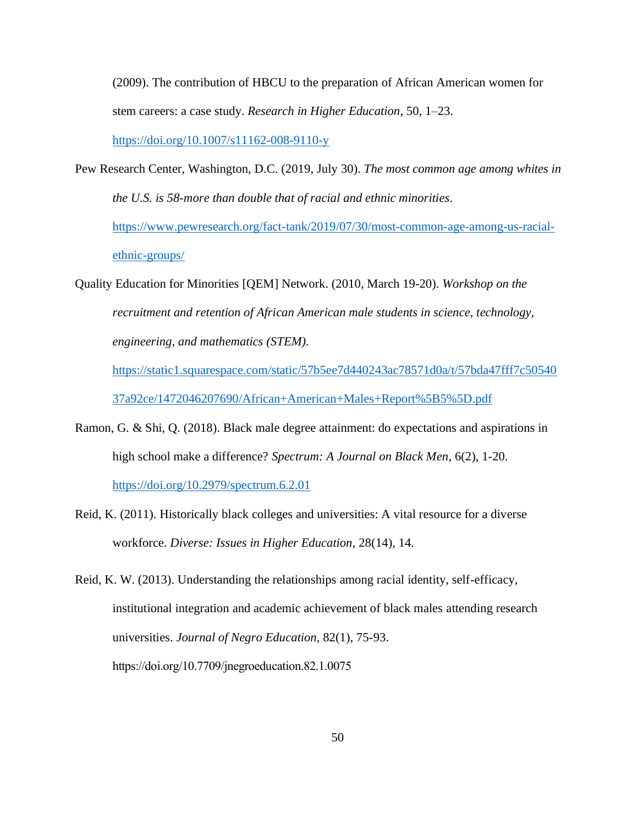(2009). The contribution of HBCU to the preparation of African American women for stem careers: a case study. *Research in Higher Education*, 50, 1–23.

<https://doi.org/10.1007/s11162-008-9110-y>

- Pew Research Center, Washington, D.C. (2019, July 30). *The most common age among whites in the U.S. is 58-more than double that of racial and ethnic minorities*. [https://www.pewresearch.org/fact-tank/2019/07/30/most-common-age-among-us-racial](https://www.pewresearch.org/fact-tank/2019/07/30/most-common-age-among-us-racial-ethnic-groups/)[ethnic-groups/](https://www.pewresearch.org/fact-tank/2019/07/30/most-common-age-among-us-racial-ethnic-groups/)
- Quality Education for Minorities [QEM] Network. (2010, March 19-20). *Workshop on the recruitment and retention of African American male students in science, technology, engineering, and mathematics (STEM).*

[https://static1.squarespace.com/static/57b5ee7d440243ac78571d0a/t/57bda47fff7c50540](https://static1.squarespace.com/static/57b5ee7d440243ac78571d0a/t/57bda47fff7c5054037a92ce/1472046207690/African+American+Males+Report%5B5%5D.pdf) [37a92ce/1472046207690/African+American+Males+Report%5B5%5D.pdf](https://static1.squarespace.com/static/57b5ee7d440243ac78571d0a/t/57bda47fff7c5054037a92ce/1472046207690/African+American+Males+Report%5B5%5D.pdf)

- Ramon, G. & Shi, Q. (2018). Black male degree attainment: do expectations and aspirations in high school make a difference? *Spectrum: A Journal on Black Men*, 6(2), 1-20. <https://doi.org/10.2979/spectrum.6.2.01>
- Reid, K. (2011). Historically black colleges and universities: A vital resource for a diverse workforce. *Diverse: Issues in Higher Education*, 28(14), 14.

Reid, K. W. (2013). Understanding the relationships among racial identity, self-efficacy, institutional integration and academic achievement of black males attending research universities. *Journal of Negro Education,* 82(1), 75-93. https://doi.org/10.7709/jnegroeducation.82.1.0075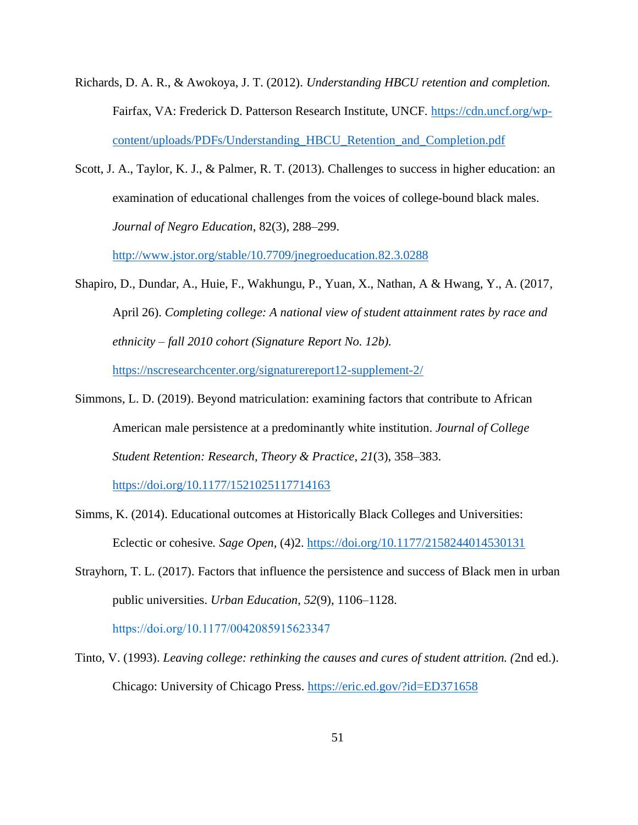- Richards, D. A. R., & Awokoya, J. T. (2012). *Understanding HBCU retention and completion.* Fairfax, VA: Frederick D. Patterson Research Institute, UNCF. [https://cdn.uncf.org/wp](https://cdn.uncf.org/wp-content/uploads/PDFs/Understanding_HBCU_Retention_and_Completion.pdf)[content/uploads/PDFs/Understanding\\_HBCU\\_Retention\\_and\\_Completion.pdf](https://cdn.uncf.org/wp-content/uploads/PDFs/Understanding_HBCU_Retention_and_Completion.pdf)
- Scott, J. A., Taylor, K. J., & Palmer, R. T. (2013). Challenges to success in higher education: an examination of educational challenges from the voices of college-bound black males. *Journal of Negro Education*, 82(3), 288–299.

<http://www.jstor.org/stable/10.7709/jnegroeducation.82.3.0288>

- Shapiro, D., Dundar, A., Huie, F., Wakhungu, P., Yuan, X., Nathan, A & Hwang, Y., A. (2017, April 26). *Completing college: A national view of student attainment rates by race and ethnicity – fall 2010 cohort (Signature Report No. 12b).* <https://nscresearchcenter.org/signaturereport12-supplement-2/>
- Simmons, L. D. (2019). Beyond matriculation: examining factors that contribute to African American male persistence at a predominantly white institution. *Journal of College Student Retention: Research, Theory & Practice*, *21*(3), 358–383. <https://doi.org/10.1177/1521025117714163>

- Simms, K. (2014). Educational outcomes at Historically Black Colleges and Universities: Eclectic or cohesive*. Sage Open,* (4)2.<https://doi.org/10.1177/2158244014530131>
- Strayhorn, T. L. (2017). Factors that influence the persistence and success of Black men in urban public universities. *Urban Education*, *52*(9), 1106–1128. https://doi.org/10.1177/0042085915623347
- Tinto, V. (1993). *Leaving college: rethinking the causes and cures of student attrition. (*2nd ed.). Chicago: University of Chicago Press. <https://eric.ed.gov/?id=ED371658>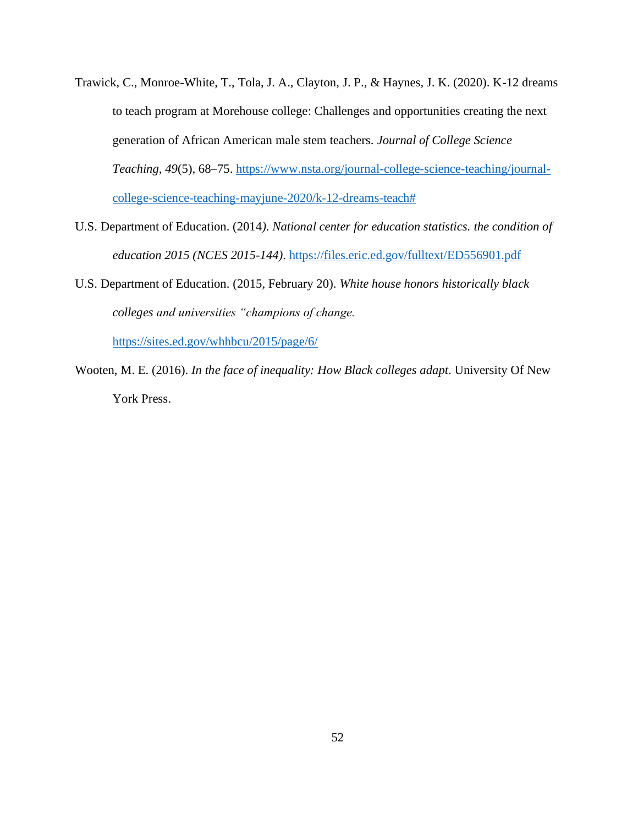- Trawick, C., Monroe-White, T., Tola, J. A., Clayton, J. P., & Haynes, J. K. (2020). K-12 dreams to teach program at Morehouse college: Challenges and opportunities creating the next generation of African American male stem teachers. *Journal of College Science Teaching*, *49*(5), 68–75. [https://www.nsta.org/journal-college-science-teaching/journal](https://www.nsta.org/journal-college-science-teaching/journal-college-science-teaching-mayjune-2020/k-12-dreams-teach)[college-science-teaching-mayjune-2020/k-12-dreams-teach#](https://www.nsta.org/journal-college-science-teaching/journal-college-science-teaching-mayjune-2020/k-12-dreams-teach)
- U.S. Department of Education. (2014*). National center for education statistics. the condition of education 2015 (NCES 2015-144)*. <https://files.eric.ed.gov/fulltext/ED556901.pdf>
- U.S. Department of Education. (2015, February 20). *White house honors historically black colleges and universities "champions of change.*

<https://sites.ed.gov/whhbcu/2015/page/6/>

Wooten, M. E. (2016). *In the face of inequality: How Black colleges adapt*. University Of New York Press.